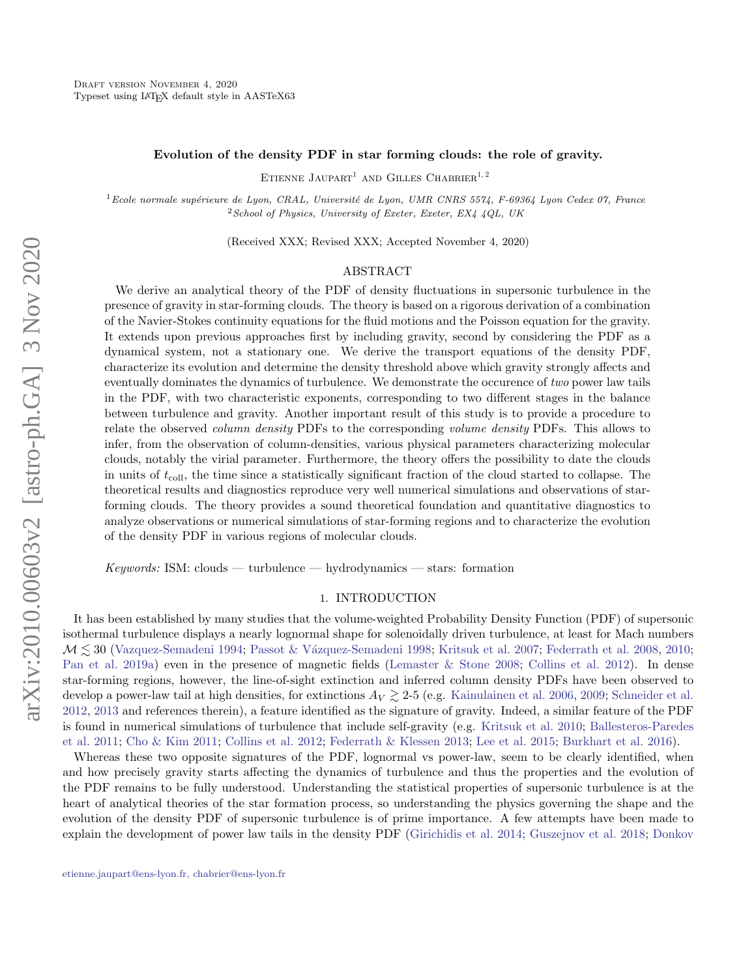### Evolution of the density PDF in star forming clouds: the role of gravity.

 $\tt{Etienne\ JAUPART}^1$  and  $\tt{GILLES\ CHABRIER}^{1,\,2}$ 

 $1$ Ecole normale supérieure de Lyon, CRAL, Université de Lyon, UMR CNRS 5574, F-69364 Lyon Cedex 07, France  $2$ School of Physics, University of Exeter, Exeter, EX4 4QL, UK

(Received XXX; Revised XXX; Accepted November 4, 2020)

### ABSTRACT

We derive an analytical theory of the PDF of density fluctuations in supersonic turbulence in the presence of gravity in star-forming clouds. The theory is based on a rigorous derivation of a combination of the Navier-Stokes continuity equations for the fluid motions and the Poisson equation for the gravity. It extends upon previous approaches first by including gravity, second by considering the PDF as a dynamical system, not a stationary one. We derive the transport equations of the density PDF, characterize its evolution and determine the density threshold above which gravity strongly affects and eventually dominates the dynamics of turbulence. We demonstrate the occurence of two power law tails in the PDF, with two characteristic exponents, corresponding to two different stages in the balance between turbulence and gravity. Another important result of this study is to provide a procedure to relate the observed *column density* PDFs to the corresponding *volume density* PDFs. This allows to infer, from the observation of column-densities, various physical parameters characterizing molecular clouds, notably the virial parameter. Furthermore, the theory offers the possibility to date the clouds in units of  $t_{\text{coll}}$ , the time since a statistically significant fraction of the cloud started to collapse. The theoretical results and diagnostics reproduce very well numerical simulations and observations of starforming clouds. The theory provides a sound theoretical foundation and quantitative diagnostics to analyze observations or numerical simulations of star-forming regions and to characterize the evolution of the density PDF in various regions of molecular clouds.

 $Keywords: ISM: clouds \rightarrow turbulence \rightarrow hydrodynamics \rightarrow stars: formation$ 

## 1. INTRODUCTION

It has been established by many studies that the volume-weighted Probability Density Function (PDF) of supersonic isothermal turbulence displays a nearly lognormal shape for solenoidally driven turbulence, at least for Mach numbers  $\mathcal{M} \lesssim 30$  [\(Vazquez-Semadeni](#page-14-0) [1994;](#page-14-0) Passot & Vázquez-Semadeni [1998;](#page-14-1) [Kritsuk et al.](#page-14-2) [2007;](#page-14-2) [Federrath et al.](#page-14-3) [2008,](#page-14-3) [2010;](#page-14-4) [Pan et al.](#page-14-5) [2019a\)](#page-14-5) even in the presence of magnetic fields [\(Lemaster & Stone](#page-14-6) [2008;](#page-14-6) [Collins et al.](#page-14-7) [2012\)](#page-14-7). In dense star-forming regions, however, the line-of-sight extinction and inferred column density PDFs have been observed to develop a power-law tail at high densities, for extinctions  $A_V \gtrsim 2-5$  (e.g. [Kainulainen et al.](#page-14-8) [2006,](#page-14-8) [2009;](#page-14-9) [Schneider et al.](#page-14-10) [2012,](#page-14-10) [2013](#page-14-11) and references therein), a feature identified as the signature of gravity. Indeed, a similar feature of the PDF is found in numerical simulations of turbulence that include self-gravity (e.g. [Kritsuk et al.](#page-14-12) [2010;](#page-14-12) [Ballesteros-Paredes](#page-13-0) [et al.](#page-13-0) [2011;](#page-13-0) [Cho & Kim](#page-14-13) [2011;](#page-14-13) [Collins et al.](#page-14-7) [2012;](#page-14-7) [Federrath & Klessen](#page-14-14) [2013;](#page-14-14) [Lee et al.](#page-14-15) [2015;](#page-14-15) [Burkhart et al.](#page-14-16) [2016\)](#page-14-16).

Whereas these two opposite signatures of the PDF, lognormal vs power-law, seem to be clearly identified, when and how precisely gravity starts affecting the dynamics of turbulence and thus the properties and the evolution of the PDF remains to be fully understood. Understanding the statistical properties of supersonic turbulence is at the heart of analytical theories of the star formation process, so understanding the physics governing the shape and the evolution of the density PDF of supersonic turbulence is of prime importance. A few attempts have been made to explain the development of power law tails in the density PDF [\(Girichidis et al.](#page-14-17) [2014;](#page-14-17) [Guszejnov et al.](#page-14-18) [2018;](#page-14-18) [Donkov](#page-14-19)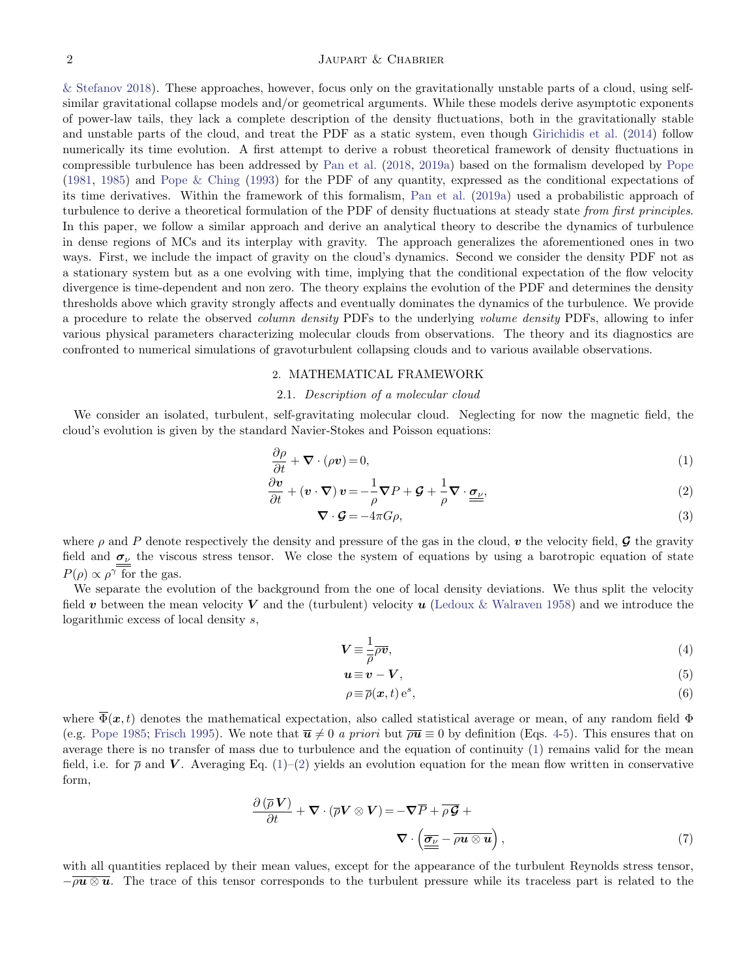## 2 [Jaupart & Chabrier](#page-14-19)

[& Stefanov](#page-14-19) [2018\)](#page-14-19). These approaches, however, focus only on the gravitationally unstable parts of a cloud, using selfsimilar gravitational collapse models and/or geometrical arguments. While these models derive asymptotic exponents of power-law tails, they lack a complete description of the density fluctuations, both in the gravitationally stable and unstable parts of the cloud, and treat the PDF as a static system, even though [Girichidis et al.](#page-14-17) [\(2014\)](#page-14-17) follow numerically its time evolution. A first attempt to derive a robust theoretical framework of density fluctuations in compressible turbulence has been addressed by [Pan et al.](#page-14-20) [\(2018,](#page-14-20) [2019a\)](#page-14-5) based on the formalism developed by [Pope](#page-14-21) [\(1981,](#page-14-21) [1985\)](#page-14-22) and [Pope & Ching](#page-14-23) [\(1993\)](#page-14-23) for the PDF of any quantity, expressed as the conditional expectations of its time derivatives. Within the framework of this formalism, [Pan et al.](#page-14-5) [\(2019a\)](#page-14-5) used a probabilistic approach of turbulence to derive a theoretical formulation of the PDF of density fluctuations at steady state *from first principles*. In this paper, we follow a similar approach and derive an analytical theory to describe the dynamics of turbulence in dense regions of MCs and its interplay with gravity. The approach generalizes the aforementioned ones in two ways. First, we include the impact of gravity on the cloud's dynamics. Second we consider the density PDF not as a stationary system but as a one evolving with time, implying that the conditional expectation of the flow velocity divergence is time-dependent and non zero. The theory explains the evolution of the PDF and determines the density thresholds above which gravity strongly affects and eventually dominates the dynamics of the turbulence. We provide a procedure to relate the observed *column density* PDFs to the underlying *volume density* PDFs, allowing to infer various physical parameters characterizing molecular clouds from observations. The theory and its diagnostics are confronted to numerical simulations of gravoturbulent collapsing clouds and to various available observations.

#### 2. MATHEMATICAL FRAMEWORK

# 2.1. Description of a molecular cloud

We consider an isolated, turbulent, self-gravitating molecular cloud. Neglecting for now the magnetic field, the cloud's evolution is given by the standard Navier-Stokes and Poisson equations:

<span id="page-1-1"></span>
$$
\frac{\partial \rho}{\partial t} + \nabla \cdot (\rho \mathbf{v}) = 0,\tag{1}
$$

$$
\frac{\partial \mathbf{v}}{\partial t} + (\mathbf{v} \cdot \nabla) \mathbf{v} = -\frac{1}{\rho} \nabla P + \mathcal{G} + \frac{1}{\rho} \nabla \cdot \underline{\boldsymbol{\sigma}}_{\nu},\tag{2}
$$

$$
\nabla \cdot \mathcal{G} = -4\pi G \rho,\tag{3}
$$

where  $\rho$  and P denote respectively the density and pressure of the gas in the cloud, v the velocity field, G the gravity field and  $\sigma_{\nu}$  the viscous stress tensor. We close the system of equations by using a barotropic equation of state  $P(\rho) \propto \rho^{\gamma}$  for the gas.

We separate the evolution of the background from the one of local density deviations. We thus split the velocity field v between the mean velocity V and the (turbulent) velocity  $u$  [\(Ledoux & Walraven](#page-14-24) [1958\)](#page-14-24) and we introduce the logarithmic excess of local density s,

<span id="page-1-0"></span>
$$
V \equiv \frac{1}{\overline{\rho}} \overline{\rho v},\tag{4}
$$

$$
u \equiv v - V, \tag{5}
$$

$$
\rho \equiv \overline{\rho}(\boldsymbol{x},t) e^s,\tag{6}
$$

where  $\overline{\Phi}(\bm{x},t)$  denotes the mathematical expectation, also called statistical average or mean, of any random field  $\Phi$ (e.g. [Pope](#page-14-22) [1985;](#page-14-22) [Frisch](#page-14-25) [1995\)](#page-14-25). We note that  $\overline{u} \neq 0$  a priori but  $\overline{\rho u} \equiv 0$  by definition (Eqs. [4-5\)](#page-1-0). This ensures that on average there is no transfer of mass due to turbulence and the equation of continuity [\(1\)](#page-1-1) remains valid for the mean field, i.e. for  $\bar{\rho}$  and V. Averaging Eq. [\(1\)](#page-1-1)–[\(2\)](#page-1-1) yields an evolution equation for the mean flow written in conservative form,

$$
\frac{\partial (\overline{\rho} \mathbf{V})}{\partial t} + \nabla \cdot (\overline{\rho} \mathbf{V} \otimes \mathbf{V}) = -\nabla \overline{P} + \overline{\rho} \overline{\mathbf{G}} + \nabla \cdot \left( \underline{\overline{\sigma_v}} - \overline{\rho u \otimes u} \right),
$$
\n(7)

with all quantities replaced by their mean values, except for the appearance of the turbulent Reynolds stress tensor,  $-\overline{\rho u\otimes u}$ . The trace of this tensor corresponds to the turbulent pressure while its traceless part is related to the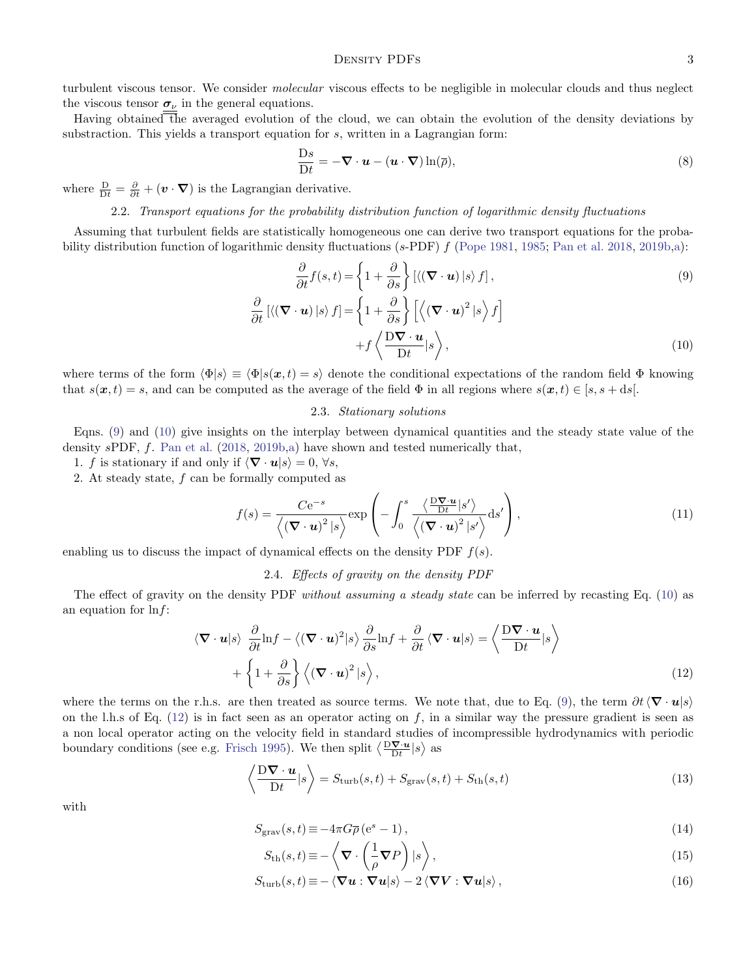turbulent viscous tensor. We consider *molecular* viscous effects to be negligible in molecular clouds and thus neglect the viscous tensor  $\sigma_{\nu}$  in the general equations.

Having obtained the averaged evolution of the cloud, we can obtain the evolution of the density deviations by substraction. This yields a transport equation for s, written in a Lagrangian form:

$$
\frac{\mathrm{D}s}{\mathrm{D}t} = -\nabla \cdot \boldsymbol{u} - (\boldsymbol{u} \cdot \nabla) \ln(\overline{\rho}),\tag{8}
$$

where  $\frac{D}{Dt} = \frac{\partial}{\partial t} + (\mathbf{v} \cdot \nabla)$  is the Lagrangian derivative.

## 2.2. Transport equations for the probability distribution function of logarithmic density fluctuations

Assuming that turbulent fields are statistically homogeneous one can derive two transport equations for the proba-bility distribution function of logarithmic density fluctuations (s-PDF) f [\(Pope](#page-14-21) [1981,](#page-14-21) [1985;](#page-14-22) [Pan et al.](#page-14-20) [2018,](#page-14-20) [2019b](#page-14-26)[,a\)](#page-14-5):

<span id="page-2-0"></span>
$$
\frac{\partial}{\partial t} f(s, t) = \left\{ 1 + \frac{\partial}{\partial s} \right\} \left[ \langle (\nabla \cdot \mathbf{u}) | s \rangle f \right],
$$
\n
$$
\frac{\partial}{\partial t} \left[ \langle (\nabla \cdot \mathbf{u}) | s \rangle f \right] = \left\{ 1 + \frac{\partial}{\partial s} \right\} \left[ \langle (\nabla \cdot \mathbf{u})^2 | s \rangle f \right]
$$
\n
$$
+ f \left\langle \frac{\mathbf{D} \nabla \cdot \mathbf{u}}{\mathbf{D} t} | s \right\rangle,
$$
\n(10)

where terms of the form  $\langle \Phi | s \rangle \equiv \langle \Phi | s(x, t) = s \rangle$  denote the conditional expectations of the random field  $\Phi$  knowing that  $s(x, t) = s$ , and can be computed as the average of the field  $\Phi$  in all regions where  $s(x, t) \in [s, s + ds]$ .

### <span id="page-2-4"></span>2.3. Stationary solutions

<span id="page-2-5"></span>Eqns. [\(9\)](#page-2-0) and [\(10\)](#page-2-0) give insights on the interplay between dynamical quantities and the steady state value of the density  $s$ PDF, f. [Pan et al.](#page-14-20) [\(2018,](#page-14-20) [2019b,](#page-14-26)[a\)](#page-14-5) have shown and tested numerically that,

1. f is stationary if and only if  $\langle \nabla \cdot \mathbf{u} | s \rangle = 0, \forall s$ ,

2. At steady state, f can be formally computed as

$$
f(s) = \frac{C e^{-s}}{\langle (\mathbf{\nabla} \cdot \mathbf{u})^2 | s \rangle} \exp\left(-\int_0^s \frac{\langle \frac{\mathbf{\nabla} \cdot \mathbf{u}}{\mathrm{D}t} | s' \rangle}{\langle (\mathbf{\nabla} \cdot \mathbf{u})^2 | s' \rangle} \mathrm{d}s'\right),\tag{11}
$$

<span id="page-2-6"></span>enabling us to discuss the impact of dynamical effects on the density PDF  $f(s)$ .

### 2.4. Effects of gravity on the density PDF

The effect of gravity on the density PDF *without assuming a steady state* can be inferred by recasting Eq. [\(10\)](#page-2-0) as an equation for  $\ln f$ :

<span id="page-2-1"></span>
$$
\langle \nabla \cdot \mathbf{u} | s \rangle \frac{\partial}{\partial t} \ln f - \langle (\nabla \cdot \mathbf{u})^2 | s \rangle \frac{\partial}{\partial s} \ln f + \frac{\partial}{\partial t} \langle \nabla \cdot \mathbf{u} | s \rangle = \left\langle \frac{\mathbf{D} \nabla \cdot \mathbf{u}}{\mathbf{D} t} | s \right\rangle + \left\{ 1 + \frac{\partial}{\partial s} \right\} \langle (\nabla \cdot \mathbf{u})^2 | s \rangle,
$$
\n(12)

where the terms on the r.h.s. are then treated as source terms. We note that, due to Eq. [\(9\)](#page-2-0), the term  $\partial t \langle \nabla \cdot \mathbf{u} | s \rangle$ on the l.h.s of Eq.  $(12)$  is in fact seen as an operator acting on f, in a similar way the pressure gradient is seen as a non local operator acting on the velocity field in standard studies of incompressible hydrodynamics with periodic boundary conditions (see e.g. [Frisch](#page-14-25) [1995\)](#page-14-25). We then split  $\langle \frac{\mathbf{D}\nabla \cdot \mathbf{u}}{\mathrm{D}t} | s \rangle$  as

<span id="page-2-3"></span>
$$
\left\langle \frac{\mathbf{D}\nabla \cdot \boldsymbol{u}}{\mathbf{D}t} | s \right\rangle = S_{\text{turb}}(s, t) + S_{\text{grav}}(s, t) + S_{\text{th}}(s, t)
$$
\n(13)

with

<span id="page-2-2"></span>
$$
S_{\text{grav}}(s,t) \equiv -4\pi G \overline{\rho} \left( e^s - 1 \right),\tag{14}
$$

$$
S_{\rm th}(s,t) \equiv -\left\langle \nabla \cdot \left(\frac{1}{\rho} \nabla P\right) \vert s \right\rangle, \tag{15}
$$

$$
S_{\text{turb}}(s,t) \equiv -\langle \mathbf{\nabla} \mathbf{u} : \mathbf{\nabla} \mathbf{u} | s \rangle - 2 \langle \mathbf{\nabla} \mathbf{V} : \mathbf{\nabla} \mathbf{u} | s \rangle, \tag{16}
$$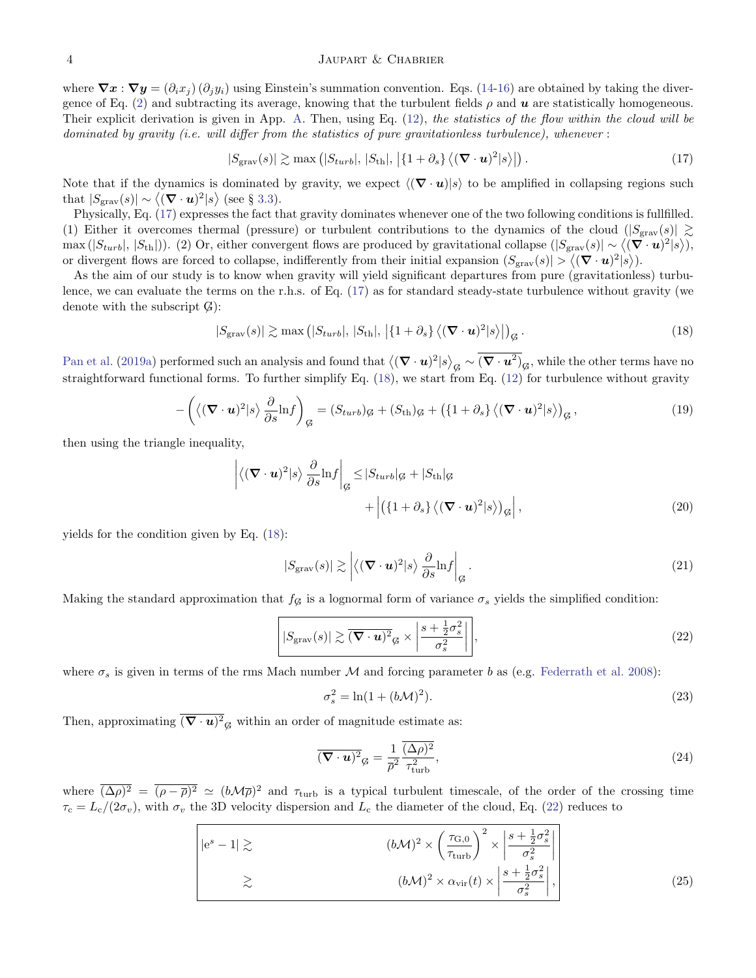where  $\nabla x : \nabla y = (\partial_i x_i) (\partial_i y_i)$  using Einstein's summation convention. Eqs. [\(14-16\)](#page-2-2) are obtained by taking the diver-gence of Eq. [\(2\)](#page-1-1) and subtracting its average, knowing that the turbulent fields  $\rho$  and  $\boldsymbol{u}$  are statistically homogeneous. Their explicit derivation is given in App. [A.](#page-10-0) Then, using Eq. [\(12\)](#page-2-1), the statistics of the flow within the cloud will be dominated by gravity (i.e. will differ from the statistics of pure gravitationless turbulence), whenever :

<span id="page-3-0"></span>
$$
|S_{\text{grav}}(s)| \gtrsim \max\left(|S_{turb}|, |S_{th}|, |{1 + \partial_s}\right\} \langle (\mathbf{\nabla} \cdot \mathbf{u})^2 | s \rangle |\right). \tag{17}
$$

Note that if the dynamics is dominated by gravity, we expect  $\langle (\nabla \cdot \mathbf{u}) | s \rangle$  to be amplified in collapsing regions such that  $|S_{\text{grav}}(s)| \sim \langle (\mathbf{\nabla} \cdot \mathbf{u})^2 | s \rangle$  (see § [3.3\)](#page-5-0).

Physically, Eq. [\(17\)](#page-3-0) expresses the fact that gravity dominates whenever one of the two following conditions is fullfilled. (1) Either it overcomes thermal (pressure) or turbulent contributions to the dynamics of the cloud  $(|S_{\text{grav}}(s)| \geq$  $\max(|S_{turb}|, |S_{th}|)$ ). (2) Or, either convergent flows are produced by gravitational collapse  $(|S_{\text{grav}}(s)| \sim \langle (\nabla \cdot \mathbf{u})^2 | s \rangle)$ , or divergent flows are forced to collapse, indifferently from their initial expansion  $(S_{\text{grav}}(s)) > \langle (\nabla \cdot \mathbf{u})^2 | s \rangle$ .

As the aim of our study is to know when gravity will yield significant departures from pure (gravitationless) turbulence, we can evaluate the terms on the r.h.s. of Eq. [\(17\)](#page-3-0) as for standard steady-state turbulence without gravity (we denote with the subscript  $G$ :

<span id="page-3-1"></span>
$$
|S_{\text{grav}}(s)| \gtrsim \max\left(|S_{turb}|, |S_{th}|, \left|\{1+\partial_s\}\left\langle(\mathbf{\nabla}\cdot\mathbf{u})^2\right|s\right\rangle\right|_{\mathcal{G}}.\tag{18}
$$

[Pan et al.](#page-14-5) [\(2019a\)](#page-14-5) performed such an analysis and found that  $\big\langle (\bm{\nabla}\cdot\bm{u})^2 | s \big\rangle_{\bm{G}} \sim (\bm{\nabla}\cdot\bm{u}^2)_{\bm{G}},$  while the other terms have no straightforward functional forms. To further simplify Eq. [\(18\)](#page-3-1), we start from Eq. [\(12\)](#page-2-1) for turbulence without gravity

$$
-\left(\langle (\mathbf{\nabla} \cdot \mathbf{u})^2 | s \rangle \frac{\partial}{\partial s} \mathrm{ln} f \right)_{\mathcal{G}} = (S_{turb})_{\mathcal{G}} + (S_{\mathrm{th}})_{\mathcal{G}} + \left(\{1 + \partial_s\} \langle (\mathbf{\nabla} \cdot \mathbf{u})^2 | s \rangle \right)_{\mathcal{G}},\tag{19}
$$

then using the triangle inequality,

$$
\langle (\mathbf{\nabla} \cdot \mathbf{u})^2 | s \rangle \frac{\partial}{\partial s} \text{ln} f \Big|_{\mathcal{G}} \leq |S_{turb}|_{\mathcal{G}} + |S_{th}|_{\mathcal{G}} + \Big| \left( \{ 1 + \partial_s \} \langle (\mathbf{\nabla} \cdot \mathbf{u})^2 | s \rangle \right)_{\mathcal{G}} \Big|,
$$
\n(20)

yields for the condition given by Eq. [\(18\)](#page-3-1):

$$
|S_{\text{grav}}(s)| \gtrsim \left| \langle (\mathbf{\nabla} \cdot \mathbf{u})^2 | s \rangle \frac{\partial}{\partial s} \text{ln} f \right|_{\mathcal{G}}.
$$
 (21)

Making the standard approximation that  $f_{\mathcal{G}}$  is a lognormal form of variance  $\sigma_s$  yields the simplified condition:

$$
\left| |S_{\text{grav}}(s)| \gtrsim \overline{(\mathbf{\nabla} \cdot \mathbf{u})^2}_{\mathcal{G}} \times \left| \frac{s + \frac{1}{2} \sigma_s^2}{\sigma_s^2} \right| \right|,
$$
\n(22)

where  $\sigma_s$  is given in terms of the rms Mach number  $M$  and forcing parameter b as (e.g. [Federrath et al.](#page-14-3) [2008\)](#page-14-3):

<span id="page-3-4"></span><span id="page-3-2"></span>
$$
\sigma_s^2 = \ln(1 + (b\mathcal{M})^2). \tag{23}
$$

Then, approximating  $(\nabla \cdot \mathbf{u})^2_{\mathcal{G}}$  within an order of magnitude estimate as:

 $\overline{\phantom{a}}$  $\overline{\phantom{a}}$  $\overline{\phantom{a}}$  $\overline{\phantom{a}}$ 

<span id="page-3-3"></span>
$$
\overline{(\mathbf{\nabla}\cdot\mathbf{u})^2}_{\mathcal{G}} = \frac{1}{\overline{\rho}^2} \frac{\overline{(\Delta\rho)^2}}{\tau_{\text{turb}}^2},\tag{24}
$$

where  $(\Delta \rho)^2 = (\rho - \overline{\rho})^2 \simeq (b \mathcal{M} \overline{\rho})^2$  and  $\tau_{\text{turb}}$  is a typical turbulent timescale, of the order of the crossing time  $\tau_c = L_c/(2\sigma_v)$ , with  $\sigma_v$  the 3D velocity dispersion and  $L_c$  the diameter of the cloud, Eq. [\(22\)](#page-3-2) reduces to

$$
\begin{vmatrix} |e^{s} - 1| \gtrsim & (b\mathcal{M})^2 \times \left(\frac{\tau_{G,0}}{\tau_{\text{turb}}}\right)^2 \times \left|\frac{s + \frac{1}{2}\sigma_s^2}{\sigma_s^2}\right| \\ \gtrsim & (b\mathcal{M})^2 \times \alpha_{\text{vir}}(t) \times \left|\frac{s + \frac{1}{2}\sigma_s^2}{\sigma_s^2}\right|, \end{vmatrix}
$$
 (25)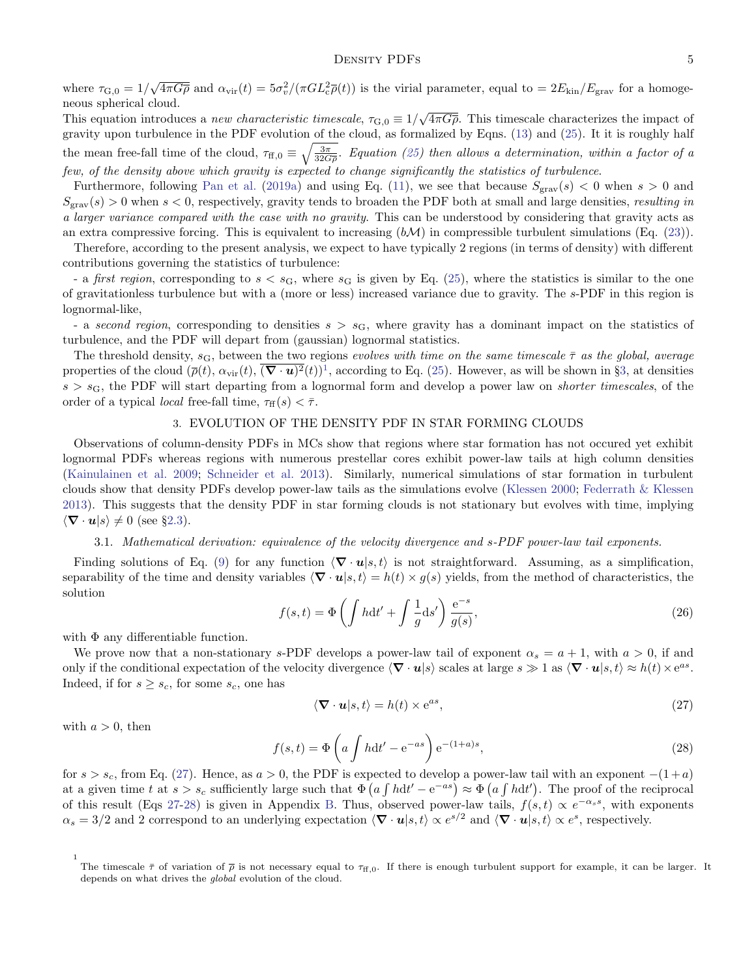### DENSITY PDFs 5

where  $\tau_{\text{G},0} = 1/\sqrt{4\pi G\overline{\rho}}$  and  $\alpha_{\text{vir}}(t) = 5\sigma_v^2/(\pi G L_c^2 \overline{\rho}(t))$  is the virial parameter, equal to  $= 2E_{\text{kin}}/E_{\text{grav}}$  for a homogeneous spherical cloud.

This equation introduces a *new characteristic timescale*,  $\tau_{\text{G,0}} \equiv 1/\sqrt{4\pi G\overline{\rho}}$ . This timescale characterizes the impact of gravity upon turbulence in the PDF evolution of the cloud, as formalized by Eqns. [\(13\)](#page-2-3) and [\(25\)](#page-3-3). It it is roughly half the mean free-fall time of the cloud,  $\tau_{\text{ff},0} \equiv \sqrt{\frac{3\pi}{32G\rho}}$ . Equation [\(25\)](#page-3-3) then allows a determination, within a factor of a few, of the density above which gravity is expected to change significantly the statistics of turbulence.

Furthermore, following [Pan et al.](#page-14-5) [\(2019a\)](#page-14-5) and using Eq. [\(11\)](#page-2-4), we see that because  $S_{grav}(s) < 0$  when  $s > 0$  and  $S_{\text{grav}}(s) > 0$  when  $s < 0$ , respectively, gravity tends to broaden the PDF both at small and large densities, resulting in a larger variance compared with the case with no gravity. This can be understood by considering that gravity acts as an extra compressive forcing. This is equivalent to increasing  $(b\mathcal{M})$  in compressible turbulent simulations (Eq. [\(23\)](#page-3-4)).

Therefore, according to the present analysis, we expect to have typically 2 regions (in terms of density) with different contributions governing the statistics of turbulence:

- a *first region*, corresponding to  $s < s_G$ , where  $s_G$  is given by Eq. [\(25\)](#page-3-3), where the statistics is similar to the one of gravitationless turbulence but with a (more or less) increased variance due to gravity. The s-PDF in this region is lognormal-like,

- a second region, corresponding to densities  $s > s<sub>G</sub>$ , where gravity has a dominant impact on the statistics of turbulence, and the PDF will depart from (gaussian) lognormal statistics.

The threshold density,  $s_G$ , between the two regions evolves with time on the same timescale  $\bar{\tau}$  as the global, average properties of the cloud  $(\bar{\rho}(t), \alpha_{\rm vir}(t), \overline{(\nabla \cdot \mathbf{u})^2}(t))^1$  $(\bar{\rho}(t), \alpha_{\rm vir}(t), \overline{(\nabla \cdot \mathbf{u})^2}(t))^1$ , according to Eq. [\(25\)](#page-3-3). However, as will be shown in §[3,](#page-4-1) at densities  $s > s<sub>G</sub>$ , the PDF will start departing from a lognormal form and develop a power law on *shorter timescales*, of the order of a typical *local* free-fall time,  $\tau_{\text{ff}}(s) < \bar{\tau}$ .

### 3. EVOLUTION OF THE DENSITY PDF IN STAR FORMING CLOUDS

<span id="page-4-1"></span>Observations of column-density PDFs in MCs show that regions where star formation has not occured yet exhibit lognormal PDFs whereas regions with numerous prestellar cores exhibit power-law tails at high column densities [\(Kainulainen et al.](#page-14-9) [2009;](#page-14-9) [Schneider et al.](#page-14-11) [2013\)](#page-14-11). Similarly, numerical simulations of star formation in turbulent clouds show that density PDFs develop power-law tails as the simulations evolve [\(Klessen](#page-14-27) [2000;](#page-14-27) [Federrath & Klessen](#page-14-14) [2013\)](#page-14-14). This suggests that the density PDF in star forming clouds is not stationary but evolves with time, implying  $\langle \mathbf{\nabla} \cdot \mathbf{u} | s \rangle \neq 0$  (see §[2.3\)](#page-2-5).

### 3.1. Mathematical derivation: equivalence of the velocity divergence and s-PDF power-law tail exponents.

Finding solutions of Eq. [\(9\)](#page-2-0) for any function  $\langle \nabla \cdot \mathbf{u} | s, t \rangle$  is not straightforward. Assuming, as a simplification, separability of the time and density variables  $\langle \nabla \cdot \mathbf{u} | s, t \rangle = h(t) \times g(s)$  yields, from the method of characteristics, the solution

$$
f(s,t) = \Phi\left(\int hdt' + \int \frac{1}{g}ds'\right) \frac{e^{-s}}{g(s)},\tag{26}
$$

with  $\Phi$  any differentiable function.

We prove now that a non-stationary s-PDF develops a power-law tail of exponent  $\alpha_s = a + 1$ , with  $a > 0$ , if and only if the conditional expectation of the velocity divergence  $\langle \nabla \cdot \mathbf{u} | s \rangle$  scales at large  $s \gg 1$  as  $\langle \nabla \cdot \mathbf{u} | s, t \rangle \approx h(t) \times e^{as}$ . Indeed, if for  $s \geq s_c$ , for some  $s_c$ , one has

<span id="page-4-2"></span>
$$
\langle \mathbf{\nabla} \cdot \mathbf{u} | s, t \rangle = h(t) \times e^{as}, \tag{27}
$$

<span id="page-4-3"></span>with  $a > 0$ , then

$$
f(s,t) = \Phi\left(a \int h dt' - e^{-as}\right) e^{-(1+a)s},\tag{28}
$$

for  $s > s_c$ , from Eq. [\(27\)](#page-4-2). Hence, as  $a > 0$ , the PDF is expected to develop a power-law tail with an exponent  $-(1 + a)$ at a given time t at  $s > s_c$  sufficiently large such that  $\Phi(a \int h dt' - e^{-as}) \approx \Phi(a \int h dt')$ . The proof of the reciprocal of this result (Eqs [27-](#page-4-2)[28\)](#page-4-3) is given in Appendix [B.](#page-11-0) Thus, observed power-law tails,  $f(s,t) \propto e^{-\alpha_s s}$ , with exponents  $\alpha_s = 3/2$  and 2 correspond to an underlying expectation  $\langle \nabla \cdot \mathbf{u} | s, t \rangle \propto e^{s/2}$  and  $\langle \nabla \cdot \mathbf{u} | s, t \rangle \propto e^s$ , respectively.

<span id="page-4-0"></span><sup>1</sup> The timescale  $\bar{\tau}$  of variation of  $\bar{\rho}$  is not necessary equal to  $\tau_{\text{ff},0}$ . If there is enough turbulent support for example, it can be larger. It depends on what drives the global evolution of the cloud.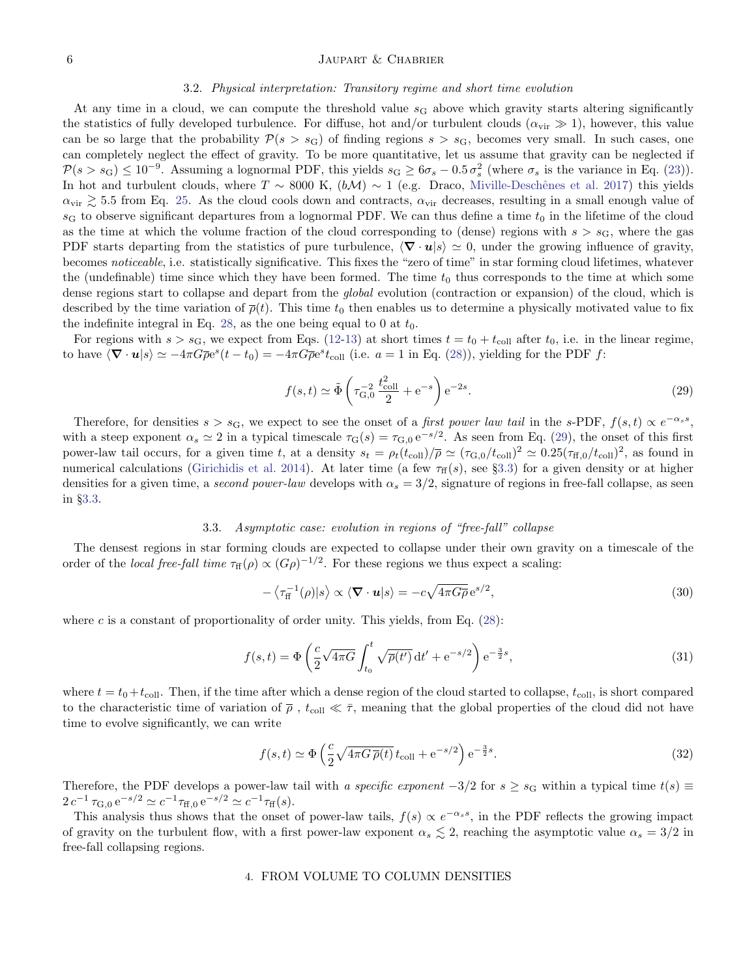#### 6 JAUPART & CHABRIER

#### 3.2. Physical interpretation: Transitory regime and short time evolution

At any time in a cloud, we can compute the threshold value  $s<sub>G</sub>$  above which gravity starts altering significantly the statistics of fully developed turbulence. For diffuse, hot and/or turbulent clouds  $(\alpha_{\rm vir} \gg 1)$ , however, this value can be so large that the probability  $\mathcal{P}(s > s_G)$  of finding regions  $s > s_G$ , becomes very small. In such cases, one can completely neglect the effect of gravity. To be more quantitative, let us assume that gravity can be neglected if  $\mathcal{P}(s > s_G) \leq 10^{-9}$ . Assuming a lognormal PDF, this yields  $s_G \geq 6\sigma_s - 0.5\sigma_s^2$  (where  $\sigma_s$  is the variance in Eq. [\(23\)](#page-3-4)). In hot and turbulent clouds, where  $T \sim 8000 \text{ K}$ ,  $(b\mathcal{M}) \sim 1$  (e.g. Draco, Miville-Deschênes et al. [2017\)](#page-14-28) this yields  $\alpha_{\rm vir} \gtrsim 5.5$  from Eq. [25.](#page-3-3) As the cloud cools down and contracts,  $\alpha_{\rm vir}$  decreases, resulting in a small enough value of  $s_G$  to observe significant departures from a lognormal PDF. We can thus define a time  $t_0$  in the lifetime of the cloud as the time at which the volume fraction of the cloud corresponding to (dense) regions with  $s > s<sub>G</sub>$ , where the gas PDF starts departing from the statistics of pure turbulence,  $\langle \nabla \cdot \mathbf{u} | s \rangle \simeq 0$ , under the growing influence of gravity, becomes noticeable, i.e. statistically significative. This fixes the "zero of time" in star forming cloud lifetimes, whatever the (undefinable) time since which they have been formed. The time  $t_0$  thus corresponds to the time at which some dense regions start to collapse and depart from the *global* evolution (contraction or expansion) of the cloud, which is described by the time variation of  $\bar{\rho}(t)$ . This time  $t_0$  then enables us to determine a physically motivated value to fix the indefinite integral in Eq. [28,](#page-4-3) as the one being equal to 0 at  $t_0$ .

<span id="page-5-1"></span>For regions with  $s > s_G$ , we expect from Eqs. [\(12](#page-2-1)[-13\)](#page-2-3) at short times  $t = t_0 + t_{coll}$  after  $t_0$ , i.e. in the linear regime, to have  $\langle \nabla \cdot \mathbf{u} | s \rangle \simeq -4\pi G \overline{\rho} e^s(t - t_0) = -4\pi G \overline{\rho} e^s t_{\text{coll}}$  (i.e.  $a = 1$  in Eq. [\(28\)](#page-4-3)), yielding for the PDF f:

$$
f(s,t) \simeq \tilde{\Phi}\left(\tau_{\text{G},0}^{-2} \frac{t_{\text{coll}}^2}{2} + e^{-s}\right) e^{-2s}.
$$
 (29)

Therefore, for densities  $s > s_G$ , we expect to see the onset of a *first power law tail* in the s-PDF,  $f(s,t) \propto e^{-\alpha_s s}$ , with a steep exponent  $\alpha_s \simeq 2$  in a typical timescale  $\tau_G(s) = \tau_{G,0} e^{-s/2}$ . As seen from Eq. [\(29\)](#page-5-1), the onset of this first power-law tail occurs, for a given time t, at a density  $s_t = \rho_t(t_{\text{coll}})/\overline{\rho} \simeq (\tau_{\text{G,0}}/t_{\text{coll}})^2 \simeq 0.25(\tau_{\text{ff,0}}/t_{\text{coll}})^2$ , as found in numerical calculations [\(Girichidis et al.](#page-14-17) [2014\)](#page-14-17). At later time (a few  $\tau_{ff}(s)$ , see §[3.3\)](#page-5-0) for a given density or at higher densities for a given time, a second power-law develops with  $\alpha_s = 3/2$ , signature of regions in free-fall collapse, as seen in §[3.3.](#page-5-0)

### 3.3. Asymptotic case: evolution in regions of "free-fall" collapse

<span id="page-5-0"></span>The densest regions in star forming clouds are expected to collapse under their own gravity on a timescale of the order of the local free-fall time  $\tau_{\rm ff}(\rho) \propto (G\rho)^{-1/2}$ . For these regions we thus expect a scaling:

$$
-\left\langle \tau_{\rm ff}^{-1}(\rho)|s\right\rangle \propto \left\langle \mathbf{\nabla} \cdot \mathbf{u}|s\right\rangle = -c\sqrt{4\pi G \overline{\rho}} e^{s/2},\tag{30}
$$

where c is a constant of proportionality of order unity. This yields, from Eq.  $(28)$ :

$$
f(s,t) = \Phi\left(\frac{c}{2}\sqrt{4\pi G}\int_{t_0}^t \sqrt{\overline{\rho}(t')} dt' + e^{-s/2}\right) e^{-\frac{3}{2}s},\tag{31}
$$

where  $t = t_0 + t_{\text{coll}}$ . Then, if the time after which a dense region of the cloud started to collapse,  $t_{\text{coll}}$ , is short compared to the characteristic time of variation of  $\bar{\rho}$ ,  $t_{\text{coll}} \ll \bar{\tau}$ , meaning that the global properties of the cloud did not have time to evolve significantly, we can write

<span id="page-5-2"></span>
$$
f(s,t) \simeq \Phi\left(\frac{c}{2}\sqrt{4\pi G\,\overline{\rho}(t)}\,t_{\text{coll}} + e^{-s/2}\right)e^{-\frac{3}{2}s}.\tag{32}
$$

Therefore, the PDF develops a power-law tail with a specific exponent  $-3/2$  for  $s \geq s_G$  within a typical time  $t(s) \equiv$  $2 c^{-1} \tau_{G,0} e^{-s/2} \simeq c^{-1} \tau_{ff,0} e^{-s/2} \simeq c^{-1} \tau_{ff}(s).$ 

<span id="page-5-3"></span>This analysis thus shows that the onset of power-law tails,  $f(s) \propto e^{-\alpha_s s}$ , in the PDF reflects the growing impact of gravity on the turbulent flow, with a first power-law exponent  $\alpha_s \lesssim 2$ , reaching the asymptotic value  $\alpha_s = 3/2$  in free-fall collapsing regions.

### 4. FROM VOLUME TO COLUMN DENSITIES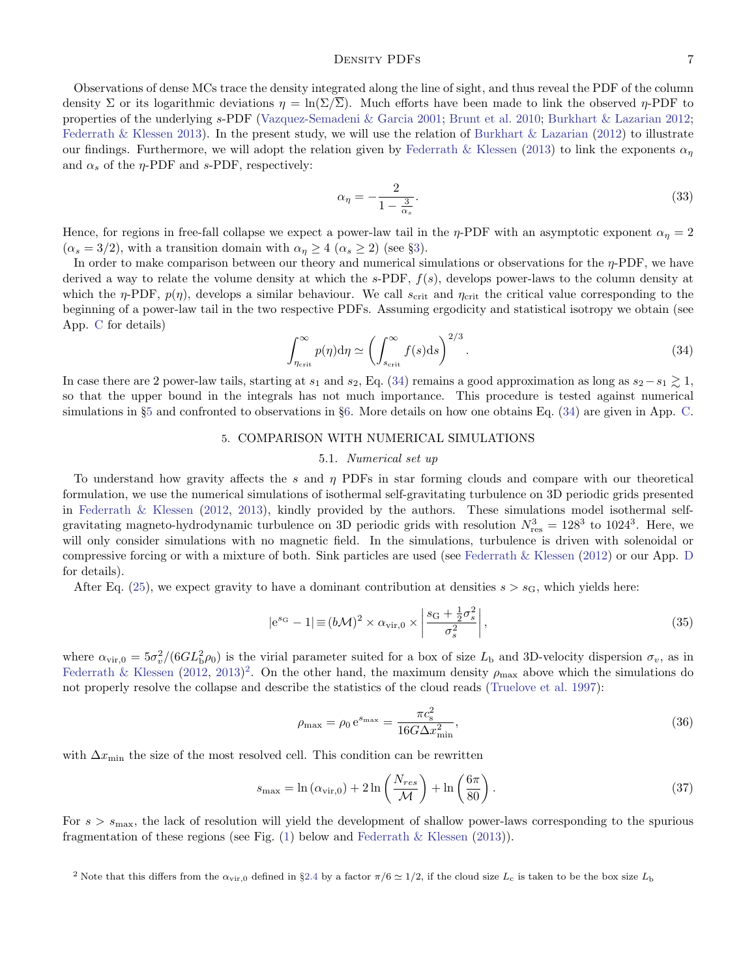### DENSITY PDFs 7

Observations of dense MCs trace the density integrated along the line of sight, and thus reveal the PDF of the column density Σ or its logarithmic deviations  $\eta = \ln(\Sigma/\overline{\Sigma})$ . Much efforts have been made to link the observed  $\eta$ -PDF to properties of the underlying s-PDF [\(Vazquez-Semadeni & Garcia](#page-14-29) [2001;](#page-14-29) [Brunt et al.](#page-14-30) [2010;](#page-14-30) [Burkhart & Lazarian](#page-14-31) [2012;](#page-14-31) [Federrath & Klessen](#page-14-14) [2013\)](#page-14-14). In the present study, we will use the relation of [Burkhart & Lazarian](#page-14-31) [\(2012\)](#page-14-31) to illustrate our findings. Furthermore, we will adopt the relation given by [Federrath & Klessen](#page-14-14) [\(2013\)](#page-14-14) to link the exponents  $\alpha_n$ and  $\alpha_s$  of the  $\eta$ -PDF and s-PDF, respectively:

$$
\alpha_{\eta} = -\frac{2}{1 - \frac{3}{\alpha_s}}.\tag{33}
$$

Hence, for regions in free-fall collapse we expect a power-law tail in the  $\eta$ -PDF with an asymptotic exponent  $\alpha_{\eta} = 2$  $(\alpha_s = 3/2)$ , with a transition domain with  $\alpha_\eta \geq 4$   $(\alpha_s \geq 2)$  (see §[3\)](#page-4-1).

In order to make comparison between our theory and numerical simulations or observations for the  $\eta$ -PDF, we have derived a way to relate the volume density at which the  $s$ -PDF,  $f(s)$ , develops power-laws to the column density at which the  $\eta$ -PDF,  $p(\eta)$ , develops a similar behaviour. We call  $s_{\text{crit}}$  and  $\eta_{\text{crit}}$  the critical value corresponding to the beginning of a power-law tail in the two respective PDFs. Assuming ergodicity and statistical isotropy we obtain (see App. [C](#page-11-1) for details)

<span id="page-6-0"></span>
$$
\int_{\eta_{\rm crit}}^{\infty} p(\eta) \mathrm{d}\eta \simeq \left( \int_{s_{\rm crit}}^{\infty} f(s) \mathrm{d}s \right)^{2/3} . \tag{34}
$$

In case there are 2 power-law tails, starting at s<sub>1</sub> and s<sub>2</sub>, Eq. [\(34\)](#page-6-0) remains a good approximation as long as s<sub>2</sub> − s<sub>1</sub>  $\gtrsim$  1, so that the upper bound in the integrals has not much importance. This procedure is tested against numerical simulations in §[5](#page-6-1) and confronted to observations in §[6.](#page-7-0) More details on how one obtains Eq. [\(34\)](#page-6-0) are given in App. [C.](#page-11-1)

## 5. COMPARISON WITH NUMERICAL SIMULATIONS

### 5.1. Numerical set up

<span id="page-6-1"></span>To understand how gravity affects the s and  $\eta$  PDFs in star forming clouds and compare with our theoretical formulation, we use the numerical simulations of isothermal self-gravitating turbulence on 3D periodic grids presented in [Federrath & Klessen](#page-14-32) [\(2012,](#page-14-32) [2013\)](#page-14-14), kindly provided by the authors. These simulations model isothermal selfgravitating magneto-hydrodynamic turbulence on 3D periodic grids with resolution  $N_{\text{res}}^3 = 128^3$  to  $1024^3$ . Here, we will only consider simulations with no magnetic field. In the simulations, turbulence is driven with solenoidal or compressive forcing or with a mixture of both. Sink particles are used (see [Federrath & Klessen](#page-14-32) [\(2012\)](#page-14-32) or our App. [D](#page-12-0) for details).

After Eq. [\(25\)](#page-3-3), we expect gravity to have a dominant contribution at densities  $s > s<sub>G</sub>$ , which yields here:

<span id="page-6-3"></span>
$$
|e^{s_G} - 1| \equiv (b\mathcal{M})^2 \times \alpha_{\rm vir,0} \times \left| \frac{s_G + \frac{1}{2}\sigma_s^2}{\sigma_s^2} \right|,
$$
\n(35)

where  $\alpha_{\rm vir,0} = 5\sigma_v^2/(6GL_b^2\rho_0)$  is the virial parameter suited for a box of size  $L_b$  and 3D-velocity dispersion  $\sigma_v$ , as in [Federrath & Klessen](#page-14-32) [\(2012,](#page-14-32) [2013\)](#page-14-14)<sup>[2](#page-6-2)</sup>. On the other hand, the maximum density  $\rho_{\text{max}}$  above which the simulations do not properly resolve the collapse and describe the statistics of the cloud reads [\(Truelove et al.](#page-14-33) [1997\)](#page-14-33):

$$
\rho_{\text{max}} = \rho_0 e^{s_{\text{max}}} = \frac{\pi c_{\text{s}}^2}{16G \Delta x_{\text{min}}^2},\tag{36}
$$

with  $\Delta x_{\text{min}}$  the size of the most resolved cell. This condition can be rewritten

<span id="page-6-4"></span>
$$
s_{\max} = \ln\left(\alpha_{\rm vir,0}\right) + 2\ln\left(\frac{N_{res}}{\mathcal{M}}\right) + \ln\left(\frac{6\pi}{80}\right). \tag{37}
$$

For  $s > s_{\text{max}}$ , the lack of resolution will yield the development of shallow power-laws corresponding to the spurious fragmentation of these regions (see Fig.  $(1)$  below and [Federrath & Klessen](#page-14-14)  $(2013)$ ).

<span id="page-6-2"></span><sup>&</sup>lt;sup>2</sup> Note that this differs from the  $\alpha_{\rm vir,0}$  defined in §[2.4](#page-2-6) by a factor  $\pi/6 \simeq 1/2$ , if the cloud size  $L_c$  is taken to be the box size  $L_b$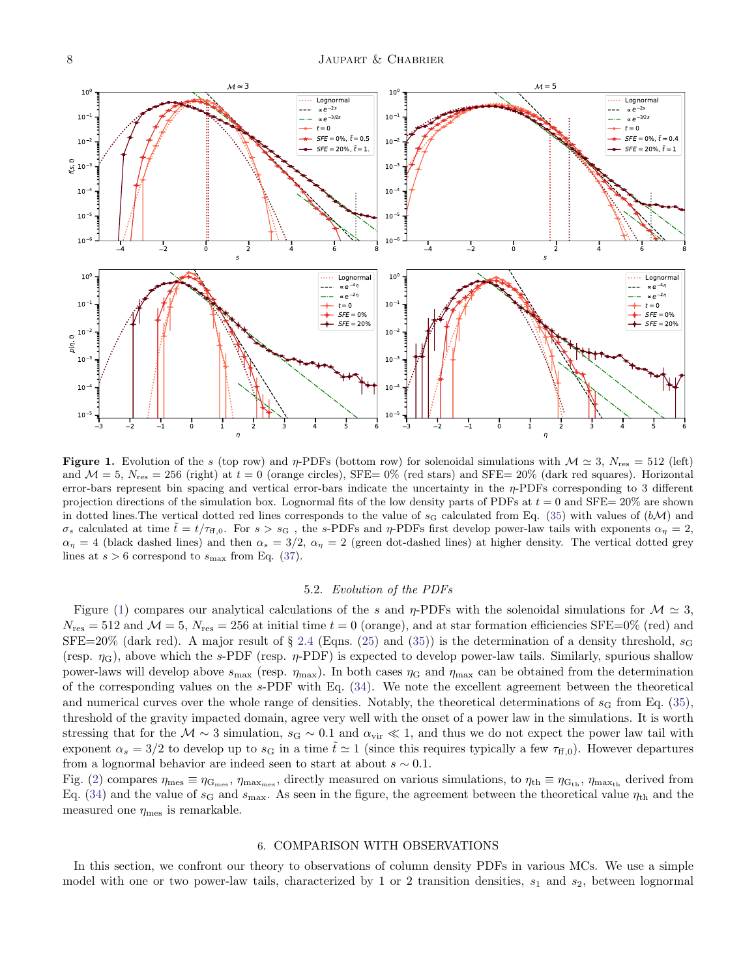

<span id="page-7-1"></span>**Figure 1.** Evolution of the s (top row) and  $\eta$ -PDFs (bottom row) for solenoidal simulations with  $\mathcal{M} \simeq 3$ ,  $N_{res} = 512$  (left) and  $\mathcal{M} = 5$ ,  $N_{\text{res}} = 256$  (right) at  $t = 0$  (orange circles), SFE= 0% (red stars) and SFE= 20% (dark red squares). Horizontal error-bars represent bin spacing and vertical error-bars indicate the uncertainty in the  $\eta$ -PDFs corresponding to 3 different projection directions of the simulation box. Lognormal fits of the low density parts of PDFs at  $t = 0$  and SFE= 20% are shown in dotted lines. The vertical dotted red lines corresponds to the value of  $s_G$  calculated from Eq. [\(35\)](#page-6-3) with values of  $(b\mathcal{M})$  and σ<sub>s</sub> calculated at time  $\tilde{t} = t/\tau_{\text{ff},0}$ . For  $s > s_{\text{G}}$ , the s-PDFs and η-PDFs first develop power-law tails with exponents  $\alpha_{\eta} = 2$ ,  $\alpha_{\eta} = 4$  (black dashed lines) and then  $\alpha_s = 3/2$ ,  $\alpha_{\eta} = 2$  (green dot-dashed lines) at higher density. The vertical dotted grey lines at  $s > 6$  correspond to  $s_{\text{max}}$  from Eq. [\(37\)](#page-6-4).

#### 5.2. Evolution of the PDFs

Figure [\(1\)](#page-7-1) compares our analytical calculations of the s and  $\eta$ -PDFs with the solenoidal simulations for  $\mathcal{M} \simeq 3$ ,  $N_{\rm res} = 512$  and  $\mathcal{M} = 5$ ,  $N_{\rm res} = 256$  at initial time  $t = 0$  (orange), and at star formation efficiencies SFE=0% (red) and  $SFE=20\%$  (dark red). A major result of § [2.4](#page-2-6) (Eqns. [\(25\)](#page-3-3) and [\(35\)](#page-6-3)) is the determination of a density threshold,  $s_G$ (resp.  $\eta_{\rm G}$ ), above which the s-PDF (resp.  $\eta$ -PDF) is expected to develop power-law tails. Similarly, spurious shallow power-laws will develop above  $s_{\text{max}}$  (resp.  $\eta_{\text{max}}$ ). In both cases  $\eta_{\text{G}}$  and  $\eta_{\text{max}}$  can be obtained from the determination of the corresponding values on the s-PDF with Eq. [\(34\)](#page-6-0). We note the excellent agreement between the theoretical and numerical curves over the whole range of densities. Notably, the theoretical determinations of  $s_G$  from Eq. [\(35\)](#page-6-3), threshold of the gravity impacted domain, agree very well with the onset of a power law in the simulations. It is worth stressing that for the  $\mathcal{M} \sim 3$  simulation,  $s_{\rm G} \sim 0.1$  and  $\alpha_{\rm vir} \ll 1$ , and thus we do not expect the power law tail with exponent  $\alpha_s = 3/2$  to develop up to  $s_{\rm G}$  in a time  $t \simeq 1$  (since this requires typically a few  $\tau_{\rm ff,0}$ ). However departures from a lognormal behavior are indeed seen to start at about  $s \sim 0.1$ .

Fig. [\(2\)](#page-8-0) compares  $\eta_{\text{mes}} \equiv \eta_{\text{G}_\text{mes}}$ ,  $\eta_{\text{max}_{\text{mes}}$ , directly measured on various simulations, to  $\eta_{\text{th}} \equiv \eta_{\text{G}_{\text{th}}}$ ,  $\eta_{\text{max}_{\text{th}}}$  derived from Eq. [\(34\)](#page-6-0) and the value of  $s_G$  and  $s_{\text{max}}$ . As seen in the figure, the agreement between the theoretical value  $\eta_{\text{th}}$  and the measured one  $\eta_{\text{mes}}$  is remarkable.

#### 6. COMPARISON WITH OBSERVATIONS

<span id="page-7-0"></span>In this section, we confront our theory to observations of column density PDFs in various MCs. We use a simple model with one or two power-law tails, characterized by 1 or 2 transition densities,  $s_1$  and  $s_2$ , between lognormal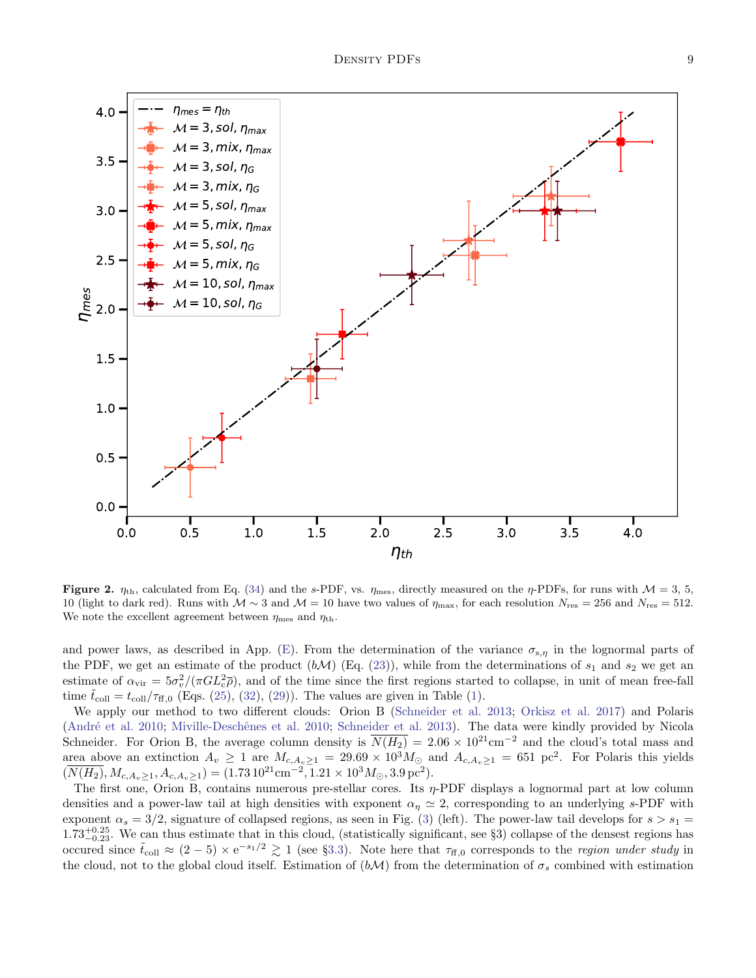

<span id="page-8-0"></span>Figure 2.  $\eta_{\text{th}}$ , calculated from Eq. [\(34\)](#page-6-0) and the s-PDF, vs.  $\eta_{\text{mes}}$ , directly measured on the  $\eta$ -PDFs, for runs with  $\mathcal{M} = 3, 5$ , 10 (light to dark red). Runs with  $\mathcal{M} \sim 3$  and  $\mathcal{M} = 10$  have two values of  $\eta_{\text{max}}$ , for each resolution  $N_{\text{res}} = 256$  and  $N_{\text{res}} = 512$ . We note the excellent agreement between  $\eta_{\text{mes}}$  and  $\eta_{\text{th}}$ .

and power laws, as described in App. [\(E\)](#page-12-1). From the determination of the variance  $\sigma_{s,\eta}$  in the lognormal parts of the PDF, we get an estimate of the product  $(b\mathcal{M})$  (Eq. [\(23\)](#page-3-4)), while from the determinations of  $s_1$  and  $s_2$  we get an estimate of  $\alpha_{\rm vir} = 5\sigma_v^2/(\pi G L_c^2 \bar{\rho})$ , and of the time since the first regions started to collapse, in unit of mean free-fall time  $\tilde{t}_{\text{coll}} = t_{\text{coll}}/\tau_{\text{ff,0}}$  (Eqs. [\(25\)](#page-3-3), [\(32\)](#page-5-2), [\(29\)](#page-5-1)). The values are given in Table [\(1\)](#page-9-0).

We apply our method to two different clouds: Orion B [\(Schneider et al.](#page-14-11) [2013;](#page-14-11) [Orkisz et al.](#page-14-34) [2017\)](#page-14-34) and Polaris (André et al. [2010;](#page-14-35) Miville-Deschênes et al. 2010; [Schneider et al.](#page-14-11) [2013\)](#page-14-11). The data were kindly provided by Nicola Schneider. For Orion B, the average column density is  $\overline{N(H_2)} = 2.06 \times 10^{21} \text{cm}^{-2}$  and the cloud's total mass and area above an extinction  $A_v \ge 1$  are  $M_{c, A_v \ge 1} = 29.69 \times 10^3 M_{\odot}$  and  $A_{c, A_v \ge 1} = 651$  pc<sup>2</sup>. For Polaris this yields  $(\overline{N(H_2)}, M_{c, A_v \ge 1}, A_{c, A_v \ge 1}) = (1.73 \, 10^{21} \text{cm}^{-2}, 1.21 \times 10^3 M_{\odot}, 3.9 \, \text{pc}^2).$ 

The first one, Orion B, contains numerous pre-stellar cores. Its  $\eta$ -PDF displays a lognormal part at low column densities and a power-law tail at high densities with exponent  $\alpha_n \simeq 2$ , corresponding to an underlying s-PDF with exponent  $\alpha_s = 3/2$ , signature of collapsed regions, as seen in Fig. [\(3\)](#page-9-1) (left). The power-law tail develops for  $s > s_1$  $1.73_{-0.23}^{+0.25}$ . We can thus estimate that in this cloud, (statistically significant, see §3) collapse of the densest regions has occured since  $\tilde{t}_{\text{coll}} \approx (2-5) \times e^{-s_1/2} \gtrsim 1$  (see §[3.3\)](#page-5-0). Note here that  $\tau_{\text{ff,0}}$  corresponds to the *region under study* in the cloud, not to the global cloud itself. Estimation of  $(b\mathcal{M})$  from the determination of  $\sigma_s$  combined with estimation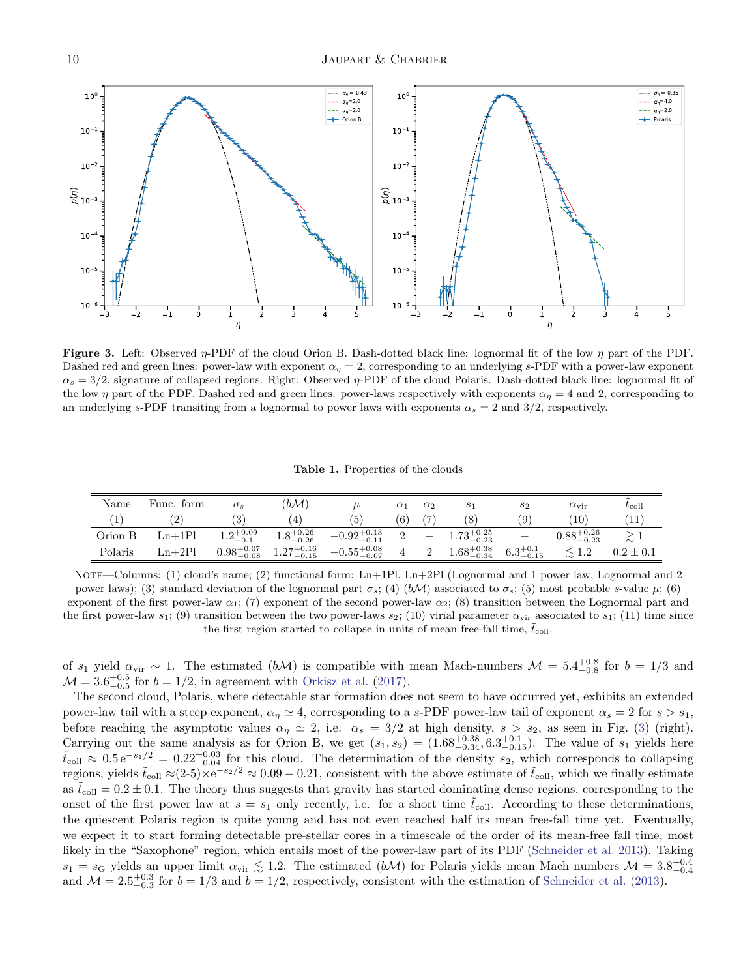

<span id="page-9-1"></span>Figure 3. Left: Observed  $\eta$ -PDF of the cloud Orion B. Dash-dotted black line: lognormal fit of the low  $\eta$  part of the PDF. Dashed red and green lines: power-law with exponent  $\alpha_{\eta} = 2$ , corresponding to an underlying s-PDF with a power-law exponent  $\alpha_s = 3/2$ , signature of collapsed regions. Right: Observed  $\eta$ -PDF of the cloud Polaris. Dash-dotted black line: lognormal fit of the low  $\eta$  part of the PDF. Dashed red and green lines: power-laws respectively with exponents  $\alpha_{\eta} = 4$  and 2, corresponding to an underlying s-PDF transiting from a lognormal to power laws with exponents  $\alpha_s = 2$  and  $3/2$ , respectively.

<span id="page-9-0"></span>Table 1. Properties of the clouds

| Name    | Func. form    | $\sigma_s$           | $(b\mathcal{M})$                              |                                                   | $_{\alpha_1}$ | $\alpha_2$        | S <sub>1</sub>         | $s_2$                    | $\alpha_{\rm vir}$     | $\tilde{\phantom{a}}$<br>$t_{\rm coll}$ |
|---------|---------------|----------------------|-----------------------------------------------|---------------------------------------------------|---------------|-------------------|------------------------|--------------------------|------------------------|-----------------------------------------|
| 1       | $^{\prime}2)$ | $\left(3\right)$     | $\left( 4\right)$                             | $\left(5\right)$                                  | (6)           | $\left( 7\right)$ | (8)                    | $\left( 9\right)$        | (10)                   | [11]                                    |
| Orion B | $Ln+1PI$      | $1.2^{+0.09}_{-0.1}$ | $1.8^{+0.26}_{-0.26}$                         | $-0.92^{+0.13}_{-0.11}$ 2 $-1.73^{+0.25}_{-0.23}$ |               |                   |                        | $\overline{\phantom{a}}$ | $0.88^{+0.26}_{-0.23}$ |                                         |
| Polaris | $Ln+2Pl$      |                      | $0.98^{+0.07}_{-0.08}$ $1.27^{+0.16}_{-0.15}$ | $-0.55^{+0.08}_{-0.07}$ 4 2                       |               |                   | $1.68^{+0.38}_{-0.34}$ | $6.3^{+0.1}_{-0.15}$     |                        | $0.2 \pm 0.1$                           |

NOTE—Columns: (1) cloud's name; (2) functional form: Ln+1Pl, Ln+2Pl (Lognormal and 1 power law, Lognormal and 2 power laws); (3) standard deviation of the lognormal part  $\sigma_s$ ; (4) (bM) associated to  $\sigma_s$ ; (5) most probable s-value  $\mu$ ; (6) exponent of the first power-law  $\alpha_1$ ; (7) exponent of the second power-law  $\alpha_2$ ; (8) transition between the Lognormal part and the first power-law  $s_1$ ; (9) transition between the two power-laws  $s_2$ ; (10) virial parameter  $\alpha_{\rm vir}$  associated to  $s_1$ ; (11) time since the first region started to collapse in units of mean free-fall time,  $\tilde{t}_{\text{coll}}$ .

of  $s_1$  yield  $\alpha_{\rm vir} \sim 1$ . The estimated  $(b\mathcal{M})$  is compatible with mean Mach-numbers  $\mathcal{M} = 5.4_{-0.8}^{+0.8}$  for  $b = 1/3$  and  $\mathcal{M} = 3.6^{+0.5}_{-0.5}$  for  $b = 1/2$ , in agreement with [Orkisz et al.](#page-14-34) [\(2017\)](#page-14-34).

The second cloud, Polaris, where detectable star formation does not seem to have occurred yet, exhibits an extended power-law tail with a steep exponent,  $\alpha_n \approx 4$ , corresponding to a s-PDF power-law tail of exponent  $\alpha_s = 2$  for  $s > s_1$ , before reaching the asymptotic values  $\alpha_{\eta} \simeq 2$ , i.e.  $\alpha_{s} = 3/2$  at high density,  $s > s_{2}$ , as seen in Fig. [\(3\)](#page-9-1) (right). Carrying out the same analysis as for Orion B, we get  $(s_1, s_2) = (1.68^{+0.38}_{-0.34}, 6.3^{+0.1}_{-0.15})$ . The value of  $s_1$  yields here  $\tilde{t}_{\text{coll}} \approx 0.5 e^{-s_1/2} = 0.22^{+0.03}_{-0.04}$  for this cloud. The determination of the density  $s_2$ , which corresponds to collapsing regions, yields  $\tilde{t}_{\text{coll}} \approx (2-5) \times e^{-s_2/2} \approx 0.09 - 0.21$ , consistent with the above estimate of  $\tilde{t}_{\text{coll}}$ , which we finally estimate as  $\tilde{t}_{\text{coll}} = 0.2 \pm 0.1$ . The theory thus suggests that gravity has started dominating dense regions, corresponding to the onset of the first power law at  $s = s_1$  only recently, i.e. for a short time  $t_{\text{coll}}$ . According to these determinations, the quiescent Polaris region is quite young and has not even reached half its mean free-fall time yet. Eventually, we expect it to start forming detectable pre-stellar cores in a timescale of the order of its mean-free fall time, most likely in the "Saxophone" region, which entails most of the power-law part of its PDF [\(Schneider et al.](#page-14-11) [2013\)](#page-14-11). Taking  $s_1 = s_G$  yields an upper limit  $\alpha_{\rm vir} \lesssim 1.2$ . The estimated  $(b\mathcal{M})$  for Polaris yields mean Mach numbers  $\mathcal{M} = 3.8^{+0.4}_{-0.4}$ and  $\mathcal{M} = 2.5_{-0.3}^{+0.3}$  for  $b = 1/3$  and  $b = 1/2$ , respectively, consistent with the estimation of [Schneider et al.](#page-14-11) [\(2013\)](#page-14-11).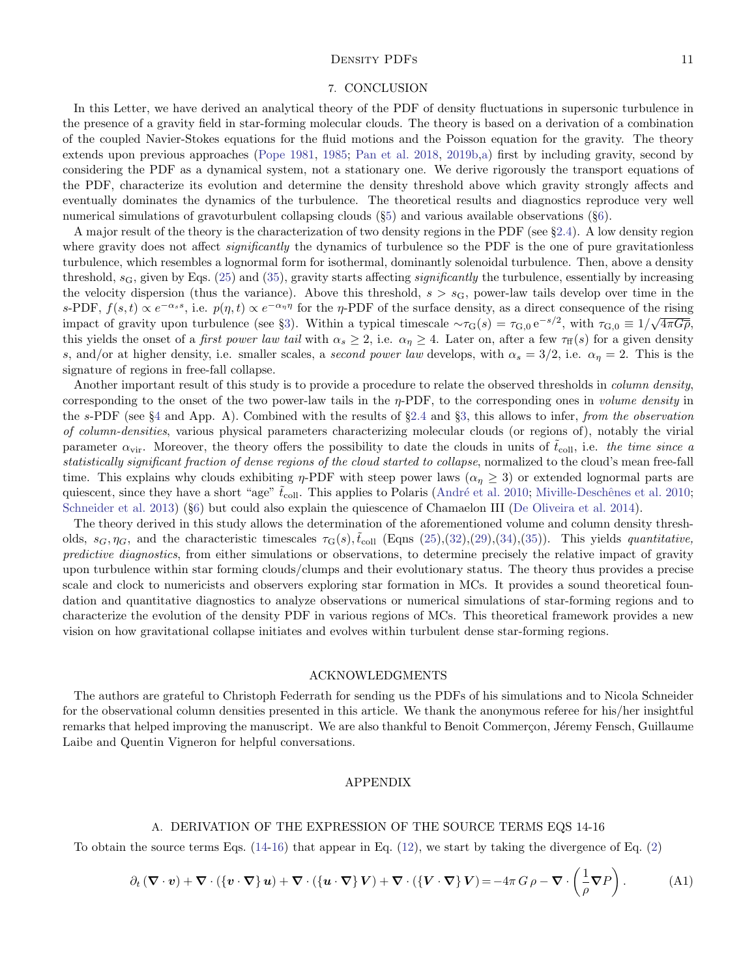### DENSITY PDFS 11

### 7. CONCLUSION

In this Letter, we have derived an analytical theory of the PDF of density fluctuations in supersonic turbulence in the presence of a gravity field in star-forming molecular clouds. The theory is based on a derivation of a combination of the coupled Navier-Stokes equations for the fluid motions and the Poisson equation for the gravity. The theory extends upon previous approaches [\(Pope](#page-14-21) [1981,](#page-14-21) [1985;](#page-14-22) [Pan et al.](#page-14-20) [2018,](#page-14-20) [2019b,](#page-14-26)[a\)](#page-14-5) first by including gravity, second by considering the PDF as a dynamical system, not a stationary one. We derive rigorously the transport equations of the PDF, characterize its evolution and determine the density threshold above which gravity strongly affects and eventually dominates the dynamics of the turbulence. The theoretical results and diagnostics reproduce very well numerical simulations of gravoturbulent collapsing clouds (§[5\)](#page-6-1) and various available observations (§[6\)](#page-7-0).

A major result of the theory is the characterization of two density regions in the PDF (see §[2.4\)](#page-2-6). A low density region where gravity does not affect *significantly* the dynamics of turbulence so the PDF is the one of pure gravitationless turbulence, which resembles a lognormal form for isothermal, dominantly solenoidal turbulence. Then, above a density threshold,  $s<sub>G</sub>$ , given by Eqs. [\(25\)](#page-3-3) and [\(35\)](#page-6-3), gravity starts affecting *significantly* the turbulence, essentially by increasing the velocity dispersion (thus the variance). Above this threshold,  $s > s<sub>G</sub>$ , power-law tails develop over time in the s-PDF,  $f(s, t) \propto e^{-\alpha_s s}$ , i.e.  $p(\eta, t) \propto e^{-\alpha_{\eta}\eta}$  for the  $\eta$ -PDF of the surface density, as a direct consequence of the rising impact of gravity upon turbulence (see §[3\)](#page-4-1). Within a typical timescale  $\sim \tau_{\rm G}(s) = \tau_{\rm G,0} e^{-s/2}$ , with  $\tau_{\rm G,0} \equiv 1/\sqrt{4\pi G\rho}$ , this yields the onset of a *first power law tail* with  $\alpha_s \geq 2$ , i.e.  $\alpha_\eta \geq 4$ . Later on, after a few  $\tau_{\text{ff}}(s)$  for a given density s, and/or at higher density, i.e. smaller scales, a second power law develops, with  $\alpha_s = 3/2$ , i.e.  $\alpha_\eta = 2$ . This is the signature of regions in free-fall collapse.

Another important result of this study is to provide a procedure to relate the observed thresholds in *column density*, corresponding to the onset of the two power-law tails in the η-PDF, to the corresponding ones in volume density in the s-PDF (see  $\S 4$  $\S 4$  and App. A). Combined with the results of  $\S 2.4$  $\S 2.4$  and  $\S 3$ , this allows to infer, from the observation of column-densities, various physical parameters characterizing molecular clouds (or regions of), notably the virial parameter  $\alpha_{\rm vir}$ . Moreover, the theory offers the possibility to date the clouds in units of  $t_{\rm coll}$ , i.e. the time since a statistically significant fraction of dense regions of the cloud started to collapse, normalized to the cloud's mean free-fall time. This explains why clouds exhibiting  $\eta$ -PDF with steep power laws ( $\alpha_{\eta} \geq 3$ ) or extended lognormal parts are quiescent, since they have a short "age"  $\tilde{t}_{\text{coll}}$ . This applies to Polaris (André et al. [2010;](#page-14-35) Miville-Deschênes et al. 2010; [Schneider et al.](#page-14-11) [2013\)](#page-14-11) (§[6\)](#page-7-0) but could also explain the quiescence of Chamaelon III [\(De Oliveira et al.](#page-14-36) [2014\)](#page-14-36).

The theory derived in this study allows the determination of the aforementioned volume and column density thresholds,  $s_G, \eta_G$ , and the characteristic timescales  $\tau_G(s), \tilde{t}_{\text{coll}}$  (Eqns [\(25\)](#page-3-3),[\(32\)](#page-5-2),[\(29\)](#page-5-1),[\(34\)](#page-6-0),[\(35\)](#page-6-3)). This yields quantitative, predictive diagnostics, from either simulations or observations, to determine precisely the relative impact of gravity upon turbulence within star forming clouds/clumps and their evolutionary status. The theory thus provides a precise scale and clock to numericists and observers exploring star formation in MCs. It provides a sound theoretical foundation and quantitative diagnostics to analyze observations or numerical simulations of star-forming regions and to characterize the evolution of the density PDF in various regions of MCs. This theoretical framework provides a new vision on how gravitational collapse initiates and evolves within turbulent dense star-forming regions.

### ACKNOWLEDGMENTS

The authors are grateful to Christoph Federrath for sending us the PDFs of his simulations and to Nicola Schneider for the observational column densities presented in this article. We thank the anonymous referee for his/her insightful remarks that helped improving the manuscript. We are also thankful to Benoit Commerçon, Jéremy Fensch, Guillaume Laibe and Quentin Vigneron for helpful conversations.

### APPENDIX

#### A. DERIVATION OF THE EXPRESSION OF THE SOURCE TERMS EQS 14-16

<span id="page-10-0"></span>To obtain the source terms Eqs.  $(14-16)$  that appear in Eq.  $(12)$ , we start by taking the divergence of Eq.  $(2)$ 

$$
\partial_t (\nabla \cdot \mathbf{v}) + \nabla \cdot (\{\mathbf{v} \cdot \nabla\} \mathbf{u}) + \nabla \cdot (\{\mathbf{u} \cdot \nabla\} \mathbf{V}) + \nabla \cdot (\{\mathbf{V} \cdot \nabla\} \mathbf{V}) = -4\pi G \rho - \nabla \cdot \left(\frac{1}{\rho} \nabla P\right). \tag{A1}
$$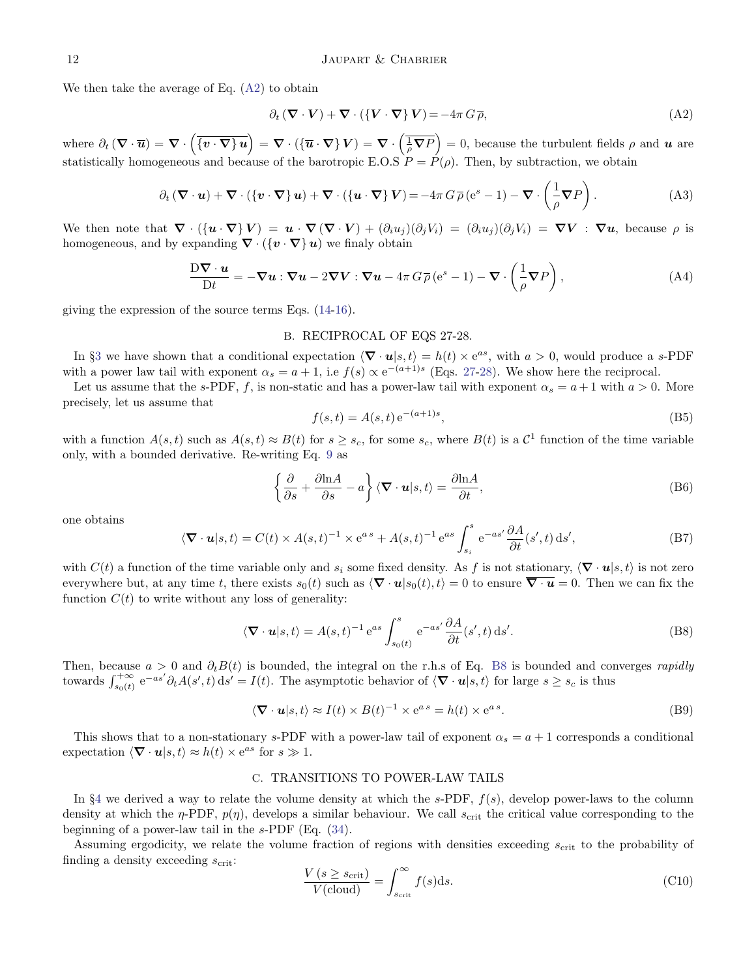We then take the average of Eq. [\(A2\)](#page-11-2) to obtain

<span id="page-11-2"></span>
$$
\partial_t (\nabla \cdot \mathbf{V}) + \nabla \cdot (\{\mathbf{V} \cdot \nabla\} \mathbf{V}) = -4\pi G \overline{\rho},\tag{A2}
$$

where  $\partial_t (\nabla \cdot \overline{u}) = \nabla \cdot (\overline{\{v \cdot \nabla\} u\}) = \nabla \cdot (\overline{\{u \cdot \nabla\}} V) = \nabla \cdot (\overline{\frac{1}{\rho} \nabla P}) = 0$ , because the turbulent fields  $\rho$  and  $u$  are statistically homogeneous and because of the barotropic E.O.S  $P = P(\rho)$ . Then, by subtraction, we obtain

$$
\partial_t (\nabla \cdot \mathbf{u}) + \nabla \cdot (\{\mathbf{v} \cdot \nabla\} \mathbf{u}) + \nabla \cdot (\{\mathbf{u} \cdot \nabla\} \mathbf{V}) = -4\pi G \overline{\rho} (e^s - 1) - \nabla \cdot \left(\frac{1}{\rho} \nabla P\right).
$$
 (A3)

We then note that  $\nabla \cdot (\{ \mathbf{u} \cdot \nabla \} V) = \mathbf{u} \cdot \nabla (\nabla \cdot V) + (\partial_i u_j)(\partial_j V_i) = (\partial_i u_j)(\partial_j V_i) = \nabla V : \nabla \mathbf{u}$ , because  $\rho$  is homogeneous, and by expanding  $\nabla \cdot (\{v \cdot \nabla\} u)$  we finaly obtain

$$
\frac{D\boldsymbol{\nabla}\cdot\boldsymbol{u}}{Dt} = -\boldsymbol{\nabla}\boldsymbol{u}:\boldsymbol{\nabla}\boldsymbol{u} - 2\boldsymbol{\nabla}\boldsymbol{V}:\boldsymbol{\nabla}\boldsymbol{u} - 4\pi\,G\,\overline{\rho}\left(e^s - 1\right) - \boldsymbol{\nabla}\cdot\left(\frac{1}{\rho}\boldsymbol{\nabla}P\right),\tag{A4}
$$

<span id="page-11-0"></span>giving the expression of the source terms Eqs. [\(14-16\)](#page-2-2).

### B. RECIPROCAL OF EQS 27-28.

In §[3](#page-4-1) we have shown that a conditional expectation  $\langle \nabla \cdot \mathbf{u} | s, t \rangle = h(t) \times e^{as}$ , with  $a > 0$ , would produce a s-PDF with a power law tail with exponent  $\alpha_s = a + 1$ , i.e  $f(s) \propto e^{-(a+1)s}$  (Eqs. [27-](#page-4-2)[28\)](#page-4-3). We show here the reciprocal.

Let us assume that the s-PDF, f, is non-static and has a power-law tail with exponent  $\alpha_s = a + 1$  with  $a > 0$ . More precisely, let us assume that

$$
f(s,t) = A(s,t) e^{-(a+1)s},
$$
\n(B5)

with a function  $A(s,t)$  such as  $A(s,t) \approx B(t)$  for  $s \geq s_c$ , for some  $s_c$ , where  $B(t)$  is a  $C<sup>1</sup>$  function of the time variable only, with a bounded derivative. Re-writing Eq. [9](#page-2-0) as

$$
\left\{\frac{\partial}{\partial s} + \frac{\partial \ln A}{\partial s} - a\right\} \langle \nabla \cdot \mathbf{u} | s, t \rangle = \frac{\partial \ln A}{\partial t},\tag{B6}
$$

one obtains

$$
\langle \mathbf{\nabla} \cdot \mathbf{u} | s, t \rangle = C(t) \times A(s, t)^{-1} \times e^{as} + A(s, t)^{-1} e^{as} \int_{s_i}^{s} e^{-as'} \frac{\partial A}{\partial t}(s', t) \, ds', \tag{B7}
$$

with  $C(t)$  a function of the time variable only and  $s_i$  some fixed density. As f is not stationary,  $\langle \nabla \cdot \mathbf{u} | s, t \rangle$  is not zero everywhere but, at any time t, there exists  $s_0(t)$  such as  $\langle \nabla \cdot \mathbf{u} | s_0(t), t \rangle = 0$  to ensure  $\overline{\nabla \cdot \mathbf{u}} = 0$ . Then we can fix the function  $C(t)$  to write without any loss of generality:

<span id="page-11-3"></span>
$$
\langle \mathbf{\nabla} \cdot \mathbf{u} | s, t \rangle = A(s, t)^{-1} e^{as} \int_{s_0(t)}^s e^{-as'} \frac{\partial A}{\partial t} (s', t) \, ds'. \tag{B8}
$$

Then, because  $a > 0$  and  $\partial_t B(t)$  is bounded, the integral on the r.h.s of Eq. [B8](#page-11-3) is bounded and converges rapidly towards  $\int_{s_0(t)}^{+\infty} e^{-as'} \partial_t A(s',t) ds' = I(t)$ . The asymptotic behavior of  $\langle \nabla \cdot \mathbf{u} | s, t \rangle$  for large  $s \geq s_c$  is thus

$$
\langle \mathbf{\nabla} \cdot \mathbf{u} | s, t \rangle \approx I(t) \times B(t)^{-1} \times e^{as} = h(t) \times e^{as}.
$$
 (B9)

This shows that to a non-stationary s-PDF with a power-law tail of exponent  $\alpha_s = a + 1$  corresponds a conditional expectation  $\langle \nabla \cdot \mathbf{u} | s, t \rangle \approx h(t) \times e^{as}$  for  $s \gg 1$ .

### C. TRANSITIONS TO POWER-LAW TAILS

<span id="page-11-1"></span>In §[4](#page-5-3) we derived a way to relate the volume density at which the s-PDF,  $f(s)$ , develop power-laws to the column density at which the  $\eta$ -PDF,  $p(\eta)$ , develops a similar behaviour. We call  $s_{\text{crit}}$  the critical value corresponding to the beginning of a power-law tail in the s-PDF (Eq. [\(34\)](#page-6-0).

Assuming ergodicity, we relate the volume fraction of regions with densities exceeding  $s_{\rm crit}$  to the probability of finding a density exceeding  $s_{\text{crit}}$ :

$$
\frac{V(s \ge s_{\text{crit}})}{V(\text{cloud})} = \int_{s_{\text{crit}}}^{\infty} f(s) \, \text{d}s. \tag{C10}
$$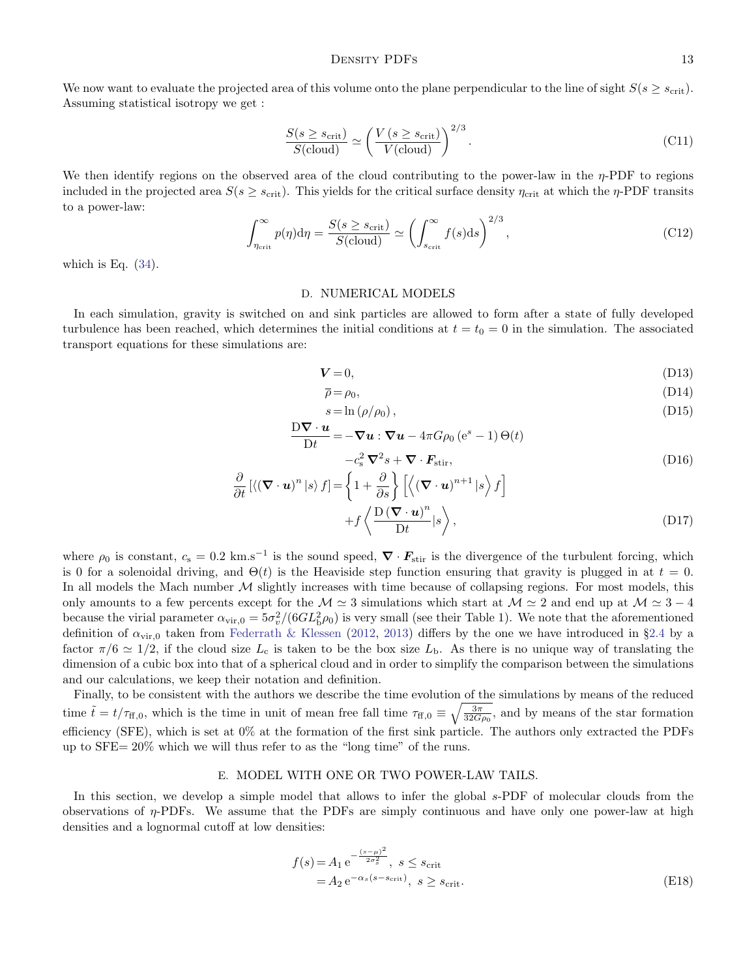We now want to evaluate the projected area of this volume onto the plane perpendicular to the line of sight  $S(s \geq s_{\text{crit}})$ . Assuming statistical isotropy we get :

$$
\frac{S(s \ge s_{\rm crit})}{S(\rm cloud)} \simeq \left(\frac{V(s \ge s_{\rm crit})}{V(\rm cloud)}\right)^{2/3}.\tag{C11}
$$

We then identify regions on the observed area of the cloud contributing to the power-law in the  $\eta$ -PDF to regions included in the projected area  $S(s \geq s_{\text{crit}})$ . This yields for the critical surface density  $\eta_{\text{crit}}$  at which the  $\eta$ -PDF transits to a power-law:

$$
\int_{\eta_{\rm crit}}^{\infty} p(\eta) \mathrm{d}\eta = \frac{S(s \ge s_{\rm crit})}{S(\text{cloud})} \simeq \left(\int_{s_{\rm crit}}^{\infty} f(s) \mathrm{d}s\right)^{2/3},\tag{C12}
$$

which is Eq.  $(34)$ .

#### D. NUMERICAL MODELS

<span id="page-12-0"></span>In each simulation, gravity is switched on and sink particles are allowed to form after a state of fully developed turbulence has been reached, which determines the initial conditions at  $t = t_0 = 0$  in the simulation. The associated transport equations for these simulations are:

$$
V = 0,\tag{D13}
$$

$$
\overline{\rho} = \rho_0,\tag{D14}
$$

$$
s = \ln(\rho/\rho_0),\tag{D15}
$$

$$
\frac{\mathbf{D}\nabla \cdot \mathbf{u}}{\mathbf{D}t} = -\nabla \mathbf{u} : \nabla \mathbf{u} - 4\pi G \rho_0 \left( e^s - 1 \right) \Theta(t)
$$
  

$$
-c_s^2 \nabla^2 s + \nabla \cdot \mathbf{F}_{\text{stir}},
$$
 (D16)

$$
\frac{\partial}{\partial t} \left[ \langle (\mathbf{\nabla} \cdot \mathbf{u})^n | s \rangle f \right] = \left\{ 1 + \frac{\partial}{\partial s} \right\} \left[ \langle (\mathbf{\nabla} \cdot \mathbf{u})^{n+1} | s \rangle f \right] \n+ f \langle \frac{\mathbf{D} (\mathbf{\nabla} \cdot \mathbf{u})^n}{\mathbf{D} t} | s \rangle,
$$
\n(D17)

where  $\rho_0$  is constant,  $c_s = 0.2 \text{ km.s}^{-1}$  is the sound speed,  $\nabla \cdot \mathbf{F}_{\text{stir}}$  is the divergence of the turbulent forcing, which is 0 for a solenoidal driving, and  $\Theta(t)$  is the Heaviside step function ensuring that gravity is plugged in at  $t = 0$ . In all models the Mach number  $M$  slightly increases with time because of collapsing regions. For most models, this only amounts to a few percents except for the  $\mathcal{M} \simeq 3$  simulations which start at  $\mathcal{M} \simeq 2$  and end up at  $\mathcal{M} \simeq 3 - 4$ because the virial parameter  $\alpha_{\rm vir,0} = 5\sigma_v^2/(6GL_b^2\rho_0)$  is very small (see their Table 1). We note that the aforementioned definition of  $\alpha_{\rm vir,0}$  taken from [Federrath & Klessen](#page-14-32) [\(2012,](#page-14-32) [2013\)](#page-14-14) differs by the one we have introduced in §[2.4](#page-2-6) by a factor  $\pi/6 \simeq 1/2$ , if the cloud size  $L_c$  is taken to be the box size  $L_b$ . As there is no unique way of translating the dimension of a cubic box into that of a spherical cloud and in order to simplify the comparison between the simulations and our calculations, we keep their notation and definition.

Finally, to be consistent with the authors we describe the time evolution of the simulations by means of the reduced time  $\tilde{t} = t/\tau_{\text{ff},0}$ , which is the time in unit of mean free fall time  $\tau_{\text{ff},0} \equiv \sqrt{\frac{3\pi}{32G\rho_0}}$ , and by means of the star formation efficiency (SFE), which is set at 0% at the formation of the first sink particle. The authors only extracted the PDFs up to SFE= 20% which we will thus refer to as the "long time" of the runs.

#### E. MODEL WITH ONE OR TWO POWER-LAW TAILS.

<span id="page-12-1"></span>In this section, we develop a simple model that allows to infer the global s-PDF of molecular clouds from the observations of η-PDFs. We assume that the PDFs are simply continuous and have only one power-law at high densities and a lognormal cutoff at low densities:

$$
f(s) = A_1 e^{-\frac{(s-\mu)^2}{2\sigma_s^2}}, \ s \le s_{\text{crit}}
$$
  
=  $A_2 e^{-\alpha_s (s - s_{\text{crit}})}, \ s \ge s_{\text{crit}}.$  (E18)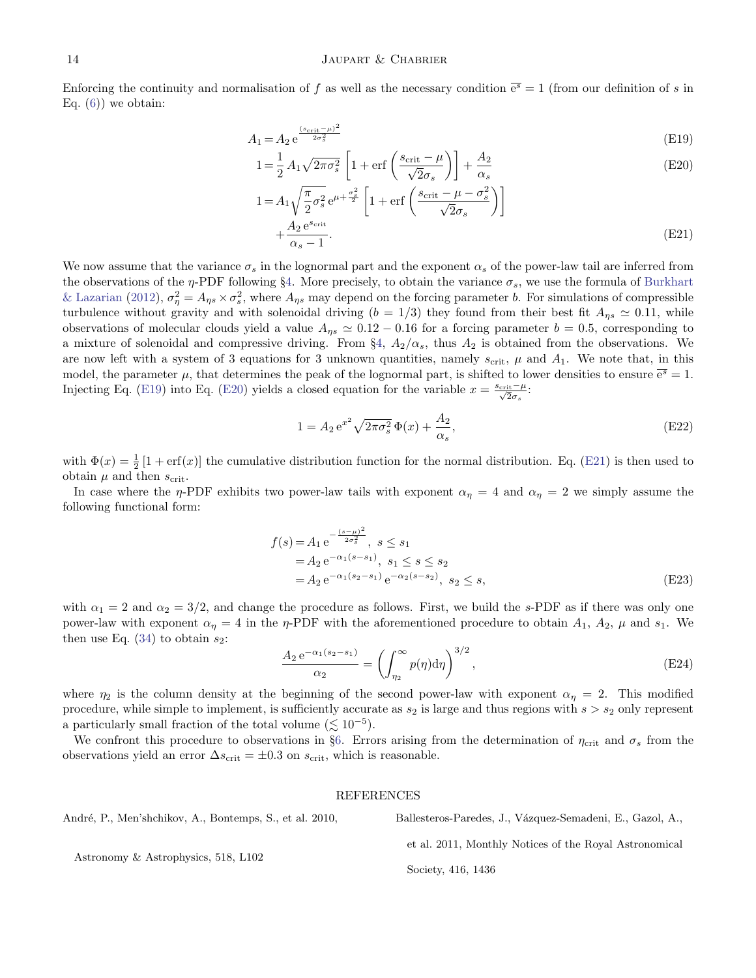### 14 JAUPART & CHABRIER

Enforcing the continuity and normalisation of f as well as the necessary condition  $\overline{e^s} = 1$  (from our definition of s in Eq.  $(6)$  we obtain:

 $\mathbf 1$ 

<span id="page-13-2"></span>
$$
A_1 = A_2 e^{\frac{(s_{\text{crit}} - \mu)^2}{2\sigma_s^2}}
$$
(E19)

$$
1 = \frac{1}{2} A_1 \sqrt{2\pi\sigma_s^2} \left[ 1 + \text{erf}\left(\frac{s_{\text{crit}} - \mu}{\sqrt{2}\sigma_s}\right) \right] + \frac{A_2}{\alpha_s} \tag{E20}
$$

$$
=A_1 \sqrt{\frac{\pi}{2} \sigma_s^2} e^{\mu + \frac{\sigma_s^2}{2}} \left[ 1 + \text{erf}\left( \frac{s_{\text{crit}} - \mu - \sigma_s^2}{\sqrt{2}\sigma_s} \right) \right]
$$
  
 
$$
+ \frac{A_2 e^{s_{\text{crit}}}}{\alpha_s - 1}.
$$
 (E21)

We now assume that the variance  $\sigma_s$  in the lognormal part and the exponent  $\alpha_s$  of the power-law tail are inferred from the observations of the  $\eta$ -PDF following §[4.](#page-5-3) More precisely, to obtain the variance  $\sigma_s$ , we use the formula of [Burkhart](#page-14-31) [& Lazarian](#page-14-31) [\(2012\)](#page-14-31),  $\sigma_{\eta}^2 = A_{\eta s} \times \sigma_s^2$ , where  $A_{\eta s}$  may depend on the forcing parameter b. For simulations of compressible turbulence without gravity and with solenoidal driving  $(b = 1/3)$  they found from their best fit  $A_{\eta s} \simeq 0.11$ , while observations of molecular clouds yield a value  $A_{\eta s} \simeq 0.12 - 0.16$  for a forcing parameter  $b = 0.5$ , corresponding to a mixture of solenoidal and compressive driving. From  $\S4$ ,  $A_2/\alpha_s$ , thus  $A_2$  is obtained from the observations. We are now left with a system of 3 equations for 3 unknown quantities, namely  $s_{\rm crit}$ ,  $\mu$  and  $A_1$ . We note that, in this model, the parameter  $\mu$ , that determines the peak of the lognormal part, is shifted to lower densities to ensure  $\overline{e^s} = 1$ . Injecting Eq. [\(E19\)](#page-13-2) into Eq. [\(E20\)](#page-13-2) yields a closed equation for the variable  $x = \frac{s_{\text{crit}} - \mu}{\sqrt{2}\sigma_s}$ :

$$
1 = A_2 e^{x^2} \sqrt{2\pi \sigma_s^2} \Phi(x) + \frac{A_2}{\alpha_s},
$$
 (E22)

with  $\Phi(x) = \frac{1}{2} [1 + erf(x)]$  the cumulative distribution function for the normal distribution. Eq. [\(E21\)](#page-13-2) is then used to obtain  $\mu$  and then  $s_{\text{crit}}$ .

In case where the  $\eta$ -PDF exhibits two power-law tails with exponent  $\alpha_{\eta} = 4$  and  $\alpha_{\eta} = 2$  we simply assume the following functional form:

$$
f(s) = A_1 e^{-\frac{(s-\mu)^2}{2\sigma_s^2}}, s \le s_1
$$
  
=  $A_2 e^{-\alpha_1(s-s_1)}, s_1 \le s \le s_2$   
=  $A_2 e^{-\alpha_1(s_2-s_1)} e^{-\alpha_2(s-s_2)}, s_2 \le s,$  (E23)

with  $\alpha_1 = 2$  and  $\alpha_2 = 3/2$ , and change the procedure as follows. First, we build the s-PDF as if there was only one power-law with exponent  $\alpha_{\eta} = 4$  in the  $\eta$ -PDF with the aforementioned procedure to obtain  $A_1$ ,  $A_2$ ,  $\mu$  and  $s_1$ . We then use Eq.  $(34)$  to obtain  $s_2$ :

$$
\frac{A_2 e^{-\alpha_1(s_2 - s_1)}}{\alpha_2} = \left( \int_{\eta_2}^{\infty} p(\eta) d\eta \right)^{3/2},
$$
\n(E24)

where  $\eta_2$  is the column density at the beginning of the second power-law with exponent  $\alpha_\eta = 2$ . This modified procedure, while simple to implement, is sufficiently accurate as  $s_2$  is large and thus regions with  $s > s_2$  only represent a particularly small fraction of the total volume  $(\lesssim 10^{-5})$ .

We confront this procedure to observations in §[6.](#page-7-0) Errors arising from the determination of  $\eta_{\rm crit}$  and  $\sigma_s$  from the observations yield an error  $\Delta s_{\text{crit}} = \pm 0.3$  on  $s_{\text{crit}}$ , which is reasonable.

#### REFERENCES

<span id="page-13-1"></span>André, P., Men'shchikov, A., Bontemps, S., et al. 2010,

<span id="page-13-0"></span>Ballesteros-Paredes, J., Vázquez-Semadeni, E., Gazol, A.,

et al. 2011, Monthly Notices of the Royal Astronomical

Astronomy & Astrophysics, 518, L102

Society, 416, 1436